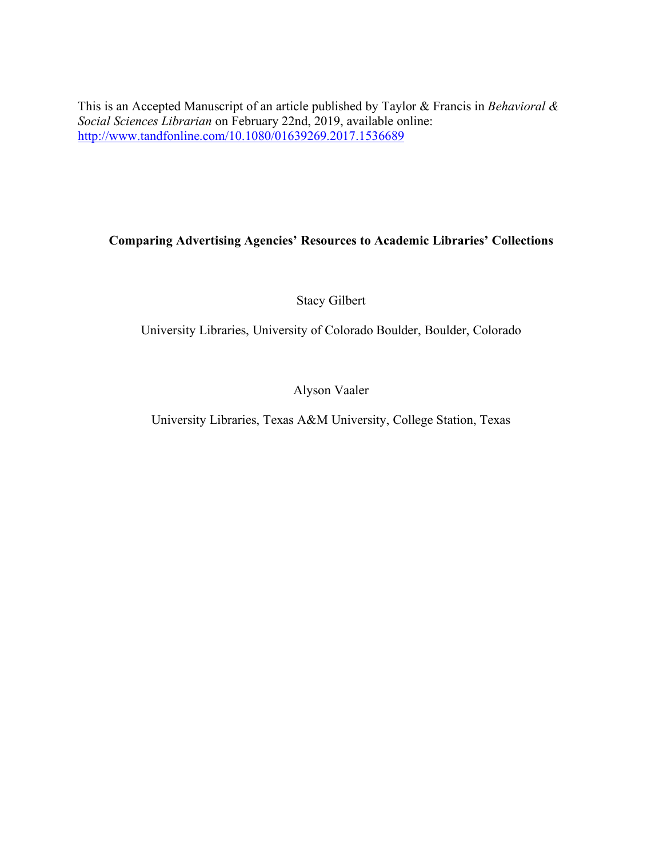This is an Accepted Manuscript of an article published by Taylor & Francis in *Behavioral & Social Sciences Librarian* on February 22nd, 2019, available online: http://www.tandfonline.com/10.1080/01639269.2017.1536689

# **Comparing Advertising Agencies' Resources to Academic Libraries' Collections**

Stacy Gilbert

University Libraries, University of Colorado Boulder, Boulder, Colorado

Alyson Vaaler

University Libraries, Texas A&M University, College Station, Texas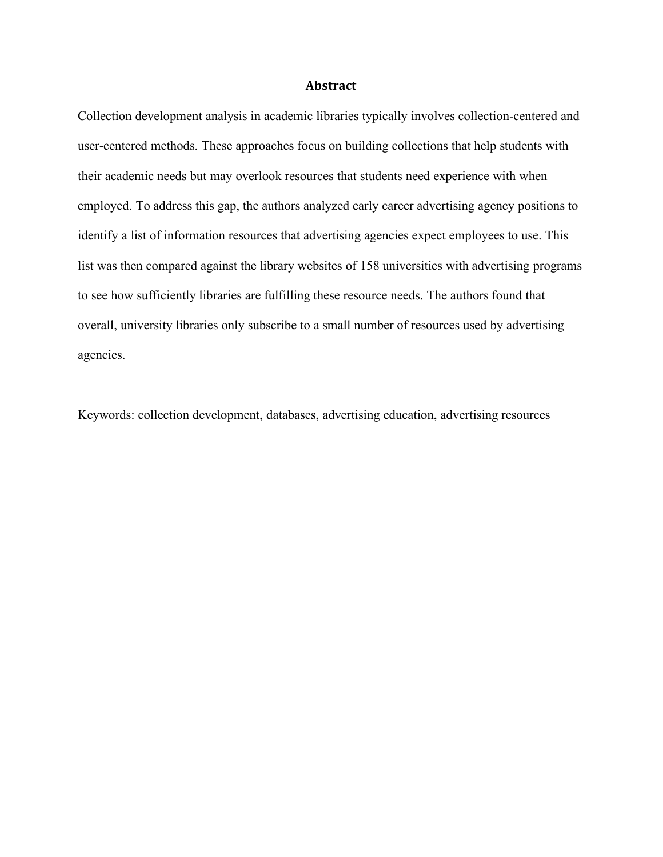#### **Abstract**

Collection development analysis in academic libraries typically involves collection-centered and user-centered methods. These approaches focus on building collections that help students with their academic needs but may overlook resources that students need experience with when employed. To address this gap, the authors analyzed early career advertising agency positions to identify a list of information resources that advertising agencies expect employees to use. This list was then compared against the library websites of 158 universities with advertising programs to see how sufficiently libraries are fulfilling these resource needs. The authors found that overall, university libraries only subscribe to a small number of resources used by advertising agencies.

Keywords: collection development, databases, advertising education, advertising resources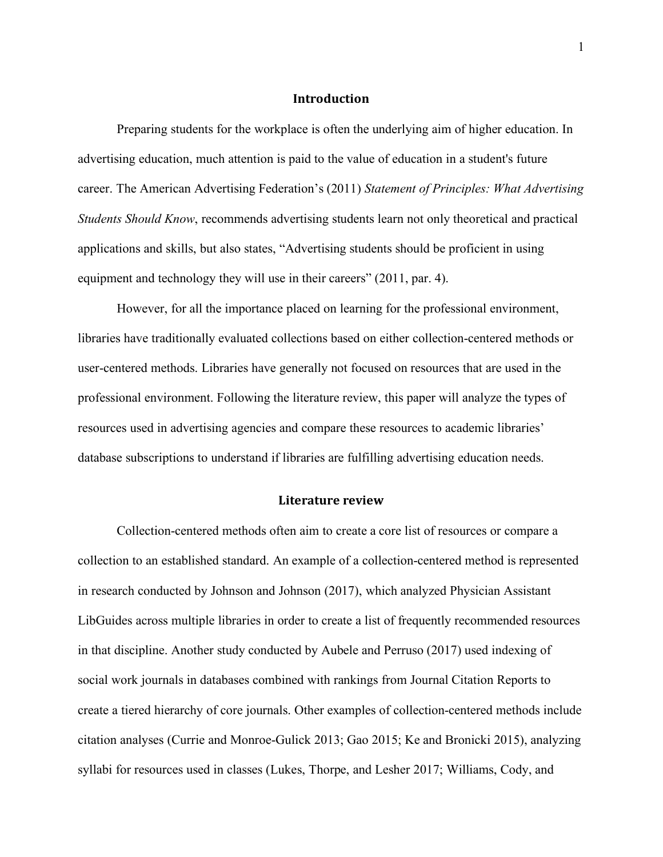#### **Introduction**

Preparing students for the workplace is often the underlying aim of higher education. In advertising education, much attention is paid to the value of education in a student's future career. The American Advertising Federation's (2011) *Statement of Principles: What Advertising Students Should Know*, recommends advertising students learn not only theoretical and practical applications and skills, but also states, "Advertising students should be proficient in using equipment and technology they will use in their careers" (2011, par. 4).

However, for all the importance placed on learning for the professional environment, libraries have traditionally evaluated collections based on either collection-centered methods or user-centered methods. Libraries have generally not focused on resources that are used in the professional environment. Following the literature review, this paper will analyze the types of resources used in advertising agencies and compare these resources to academic libraries' database subscriptions to understand if libraries are fulfilling advertising education needs.

#### **Literature review**

Collection-centered methods often aim to create a core list of resources or compare a collection to an established standard. An example of a collection-centered method is represented in research conducted by Johnson and Johnson (2017), which analyzed Physician Assistant LibGuides across multiple libraries in order to create a list of frequently recommended resources in that discipline. Another study conducted by Aubele and Perruso (2017) used indexing of social work journals in databases combined with rankings from Journal Citation Reports to create a tiered hierarchy of core journals. Other examples of collection-centered methods include citation analyses (Currie and Monroe-Gulick 2013; Gao 2015; Ke and Bronicki 2015), analyzing syllabi for resources used in classes (Lukes, Thorpe, and Lesher 2017; Williams, Cody, and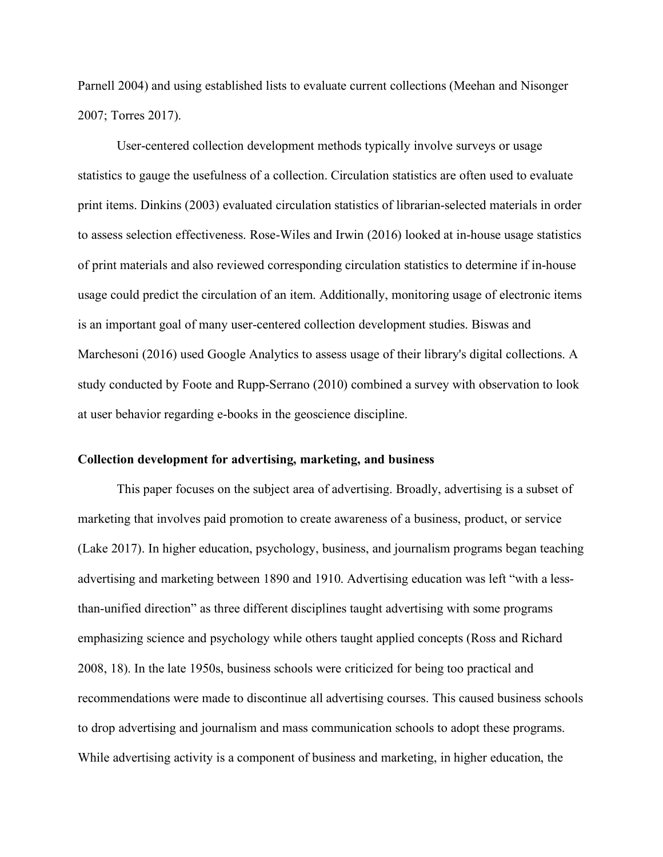Parnell 2004) and using established lists to evaluate current collections (Meehan and Nisonger 2007; Torres 2017).

User-centered collection development methods typically involve surveys or usage statistics to gauge the usefulness of a collection. Circulation statistics are often used to evaluate print items. Dinkins (2003) evaluated circulation statistics of librarian-selected materials in order to assess selection effectiveness. Rose-Wiles and Irwin (2016) looked at in-house usage statistics of print materials and also reviewed corresponding circulation statistics to determine if in-house usage could predict the circulation of an item. Additionally, monitoring usage of electronic items is an important goal of many user-centered collection development studies. Biswas and Marchesoni (2016) used Google Analytics to assess usage of their library's digital collections. A study conducted by Foote and Rupp-Serrano (2010) combined a survey with observation to look at user behavior regarding e-books in the geoscience discipline.

### **Collection development for advertising, marketing, and business**

This paper focuses on the subject area of advertising. Broadly, advertising is a subset of marketing that involves paid promotion to create awareness of a business, product, or service (Lake 2017). In higher education, psychology, business, and journalism programs began teaching advertising and marketing between 1890 and 1910. Advertising education was left "with a lessthan-unified direction" as three different disciplines taught advertising with some programs emphasizing science and psychology while others taught applied concepts (Ross and Richard 2008, 18). In the late 1950s, business schools were criticized for being too practical and recommendations were made to discontinue all advertising courses. This caused business schools to drop advertising and journalism and mass communication schools to adopt these programs. While advertising activity is a component of business and marketing, in higher education, the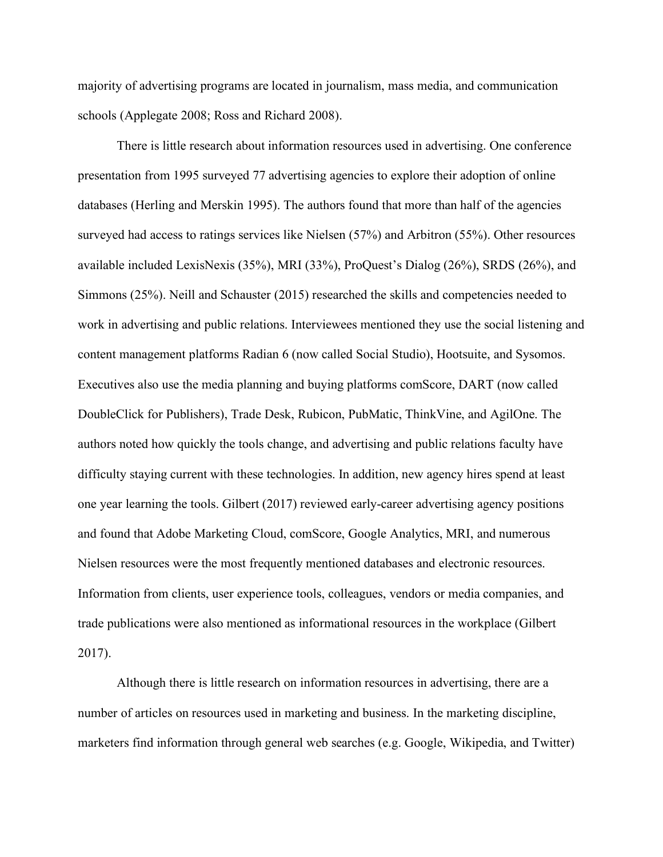majority of advertising programs are located in journalism, mass media, and communication schools (Applegate 2008; Ross and Richard 2008).

There is little research about information resources used in advertising. One conference presentation from 1995 surveyed 77 advertising agencies to explore their adoption of online databases (Herling and Merskin 1995). The authors found that more than half of the agencies surveyed had access to ratings services like Nielsen (57%) and Arbitron (55%). Other resources available included LexisNexis (35%), MRI (33%), ProQuest's Dialog (26%), SRDS (26%), and Simmons (25%). Neill and Schauster (2015) researched the skills and competencies needed to work in advertising and public relations. Interviewees mentioned they use the social listening and content management platforms Radian 6 (now called Social Studio), Hootsuite, and Sysomos. Executives also use the media planning and buying platforms comScore, DART (now called DoubleClick for Publishers), Trade Desk, Rubicon, PubMatic, ThinkVine, and AgilOne. The authors noted how quickly the tools change, and advertising and public relations faculty have difficulty staying current with these technologies. In addition, new agency hires spend at least one year learning the tools. Gilbert (2017) reviewed early-career advertising agency positions and found that Adobe Marketing Cloud, comScore, Google Analytics, MRI, and numerous Nielsen resources were the most frequently mentioned databases and electronic resources. Information from clients, user experience tools, colleagues, vendors or media companies, and trade publications were also mentioned as informational resources in the workplace (Gilbert 2017).

Although there is little research on information resources in advertising, there are a number of articles on resources used in marketing and business. In the marketing discipline, marketers find information through general web searches (e.g. Google, Wikipedia, and Twitter)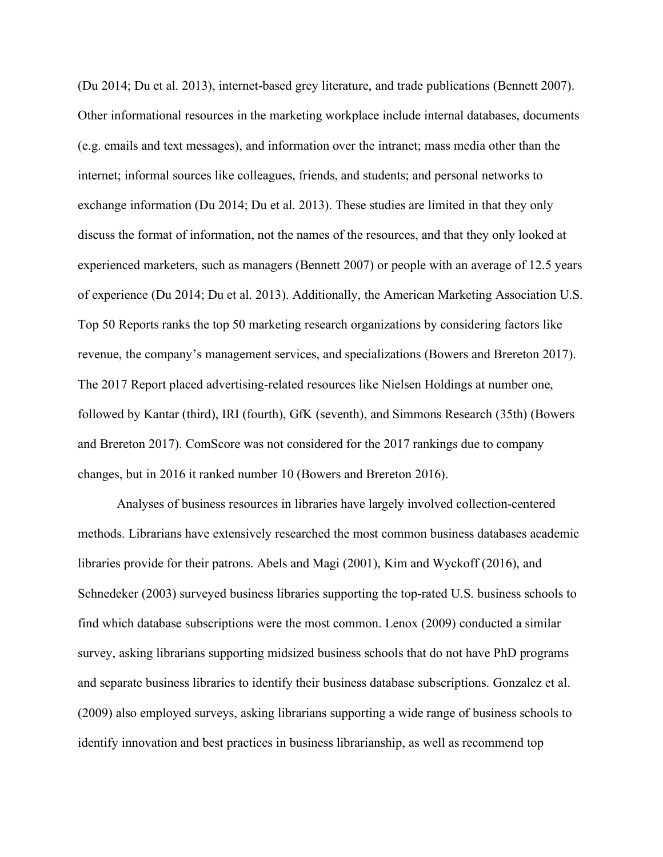(Du 2014; Du et al. 2013), internet-based grey literature, and trade publications (Bennett 2007). Other informational resources in the marketing workplace include internal databases, documents (e.g. emails and text messages), and information over the intranet; mass media other than the internet; informal sources like colleagues, friends, and students; and personal networks to exchange information (Du 2014; Du et al. 2013). These studies are limited in that they only discuss the format of information, not the names of the resources, and that they only looked at experienced marketers, such as managers (Bennett 2007) or people with an average of 12.5 years of experience (Du 2014; Du et al. 2013). Additionally, the American Marketing Association U.S. Top 50 Reports ranks the top 50 marketing research organizations by considering factors like revenue, the company's management services, and specializations (Bowers and Brereton 2017). The 2017 Report placed advertising-related resources like Nielsen Holdings at number one, followed by Kantar (third), IRI (fourth), GfK (seventh), and Simmons Research (35th) (Bowers and Brereton 2017). ComScore was not considered for the 2017 rankings due to company changes, but in 2016 it ranked number 10 (Bowers and Brereton 2016).

Analyses of business resources in libraries have largely involved collection-centered methods. Librarians have extensively researched the most common business databases academic libraries provide for their patrons. Abels and Magi (2001), Kim and Wyckoff (2016), and Schnedeker (2003) surveyed business libraries supporting the top-rated U.S. business schools to find which database subscriptions were the most common. Lenox (2009) conducted a similar survey, asking librarians supporting midsized business schools that do not have PhD programs and separate business libraries to identify their business database subscriptions. Gonzalez et al. (2009) also employed surveys, asking librarians supporting a wide range of business schools to identify innovation and best practices in business librarianship, as well as recommend top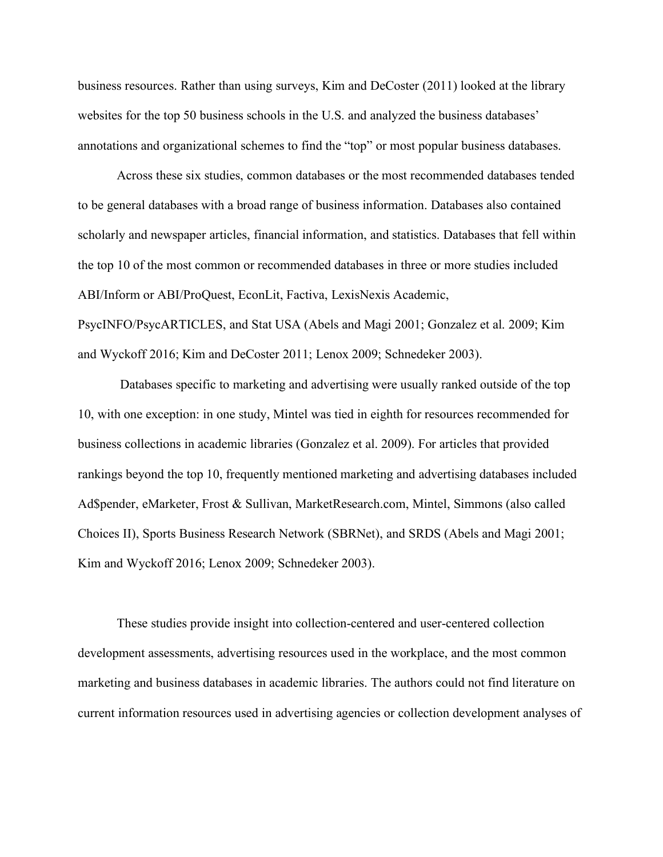business resources. Rather than using surveys, Kim and DeCoster (2011) looked at the library websites for the top 50 business schools in the U.S. and analyzed the business databases' annotations and organizational schemes to find the "top" or most popular business databases.

Across these six studies, common databases or the most recommended databases tended to be general databases with a broad range of business information. Databases also contained scholarly and newspaper articles, financial information, and statistics. Databases that fell within the top 10 of the most common or recommended databases in three or more studies included ABI/Inform or ABI/ProQuest, EconLit, Factiva, LexisNexis Academic, PsycINFO/PsycARTICLES, and Stat USA (Abels and Magi 2001; Gonzalez et al. 2009; Kim and Wyckoff 2016; Kim and DeCoster 2011; Lenox 2009; Schnedeker 2003).

Databases specific to marketing and advertising were usually ranked outside of the top 10, with one exception: in one study, Mintel was tied in eighth for resources recommended for business collections in academic libraries (Gonzalez et al. 2009). For articles that provided rankings beyond the top 10, frequently mentioned marketing and advertising databases included Ad\$pender, eMarketer, Frost & Sullivan, MarketResearch.com, Mintel, Simmons (also called Choices II), Sports Business Research Network (SBRNet), and SRDS (Abels and Magi 2001; Kim and Wyckoff 2016; Lenox 2009; Schnedeker 2003).

These studies provide insight into collection-centered and user-centered collection development assessments, advertising resources used in the workplace, and the most common marketing and business databases in academic libraries. The authors could not find literature on current information resources used in advertising agencies or collection development analyses of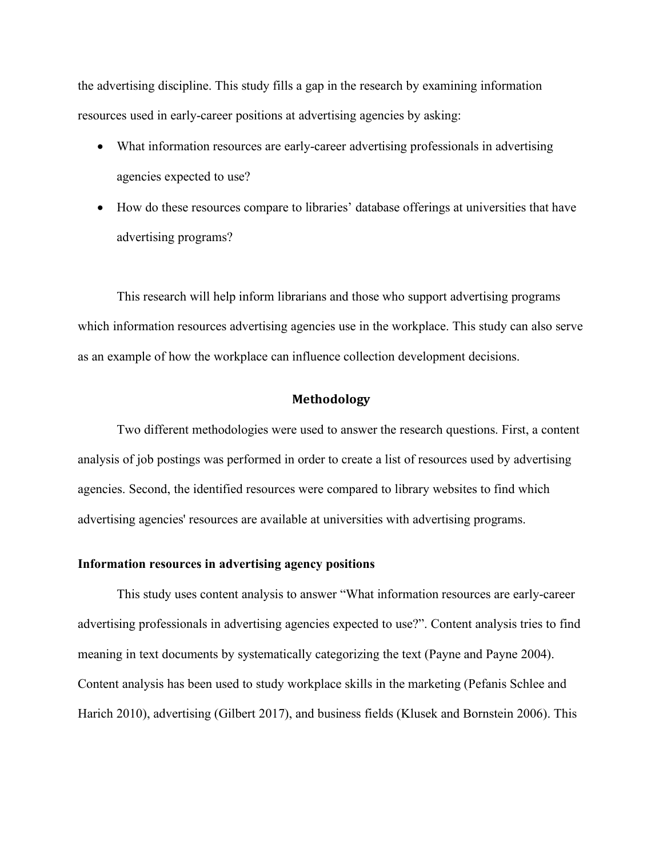the advertising discipline. This study fills a gap in the research by examining information resources used in early-career positions at advertising agencies by asking:

- What information resources are early-career advertising professionals in advertising agencies expected to use?
- How do these resources compare to libraries' database offerings at universities that have advertising programs?

This research will help inform librarians and those who support advertising programs which information resources advertising agencies use in the workplace. This study can also serve as an example of how the workplace can influence collection development decisions.

## **Methodology**

Two different methodologies were used to answer the research questions. First, a content analysis of job postings was performed in order to create a list of resources used by advertising agencies. Second, the identified resources were compared to library websites to find which advertising agencies' resources are available at universities with advertising programs.

### **Information resources in advertising agency positions**

This study uses content analysis to answer "What information resources are early-career advertising professionals in advertising agencies expected to use?". Content analysis tries to find meaning in text documents by systematically categorizing the text (Payne and Payne 2004). Content analysis has been used to study workplace skills in the marketing (Pefanis Schlee and Harich 2010), advertising (Gilbert 2017), and business fields (Klusek and Bornstein 2006). This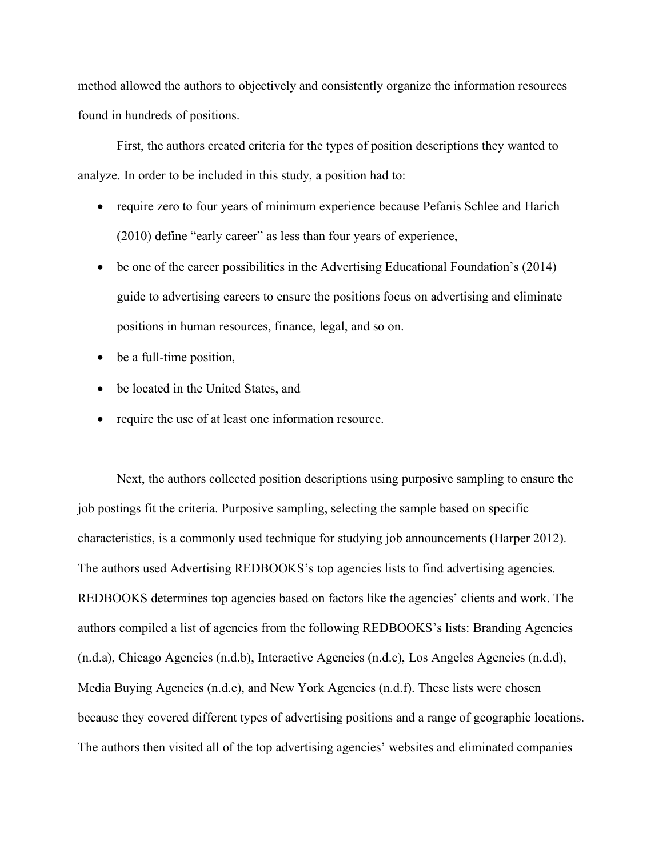method allowed the authors to objectively and consistently organize the information resources found in hundreds of positions.

First, the authors created criteria for the types of position descriptions they wanted to analyze. In order to be included in this study, a position had to:

- require zero to four years of minimum experience because Pefanis Schlee and Harich (2010) define "early career" as less than four years of experience,
- be one of the career possibilities in the Advertising Educational Foundation's (2014) guide to advertising careers to ensure the positions focus on advertising and eliminate positions in human resources, finance, legal, and so on.
- be a full-time position,
- be located in the United States, and
- require the use of at least one information resource.

Next, the authors collected position descriptions using purposive sampling to ensure the job postings fit the criteria. Purposive sampling, selecting the sample based on specific characteristics, is a commonly used technique for studying job announcements (Harper 2012). The authors used Advertising REDBOOKS's top agencies lists to find advertising agencies. REDBOOKS determines top agencies based on factors like the agencies' clients and work. The authors compiled a list of agencies from the following REDBOOKS's lists: Branding Agencies (n.d.a), Chicago Agencies (n.d.b), Interactive Agencies (n.d.c), Los Angeles Agencies (n.d.d), Media Buying Agencies (n.d.e), and New York Agencies (n.d.f). These lists were chosen because they covered different types of advertising positions and a range of geographic locations. The authors then visited all of the top advertising agencies' websites and eliminated companies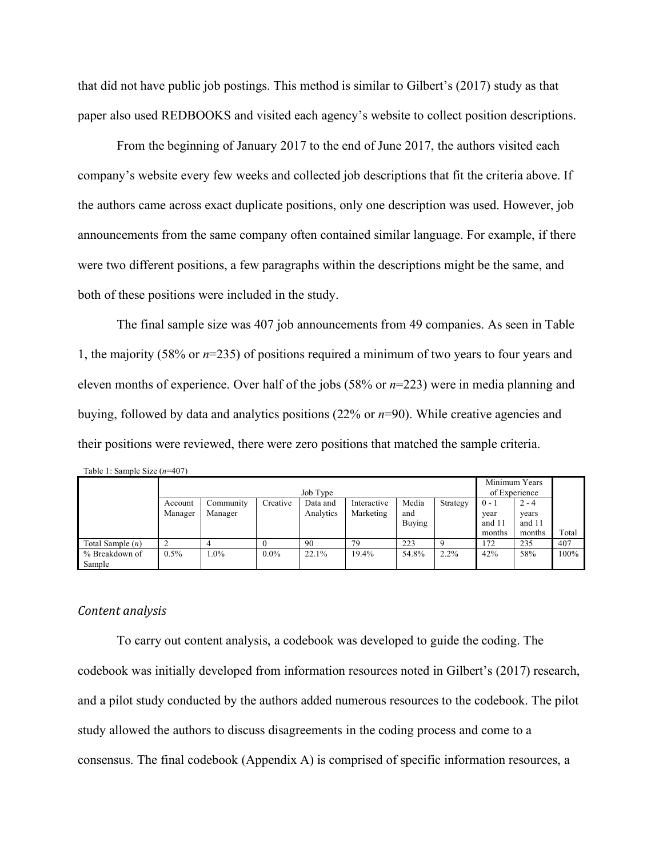that did not have public job postings. This method is similar to Gilbert's (2017) study as that paper also used REDBOOKS and visited each agency's website to collect position descriptions.

From the beginning of January 2017 to the end of June 2017, the authors visited each company's website every few weeks and collected job descriptions that fit the criteria above. If the authors came across exact duplicate positions, only one description was used. However, job announcements from the same company often contained similar language. For example, if there were two different positions, a few paragraphs within the descriptions might be the same, and both of these positions were included in the study.

The final sample size was 407 job announcements from 49 companies. As seen in Table 1, the majority (58% or *n*=235) of positions required a minimum of two years to four years and eleven months of experience. Over half of the jobs (58% or *n*=223) were in media planning and buying, followed by data and analytics positions (22% or *n*=90). While creative agencies and their positions were reviewed, there were zero positions that matched the sample criteria.

| Table 1: Sample Size $(n=407)$ |          |           |          |           |             |        |                                |         |         |       |
|--------------------------------|----------|-----------|----------|-----------|-------------|--------|--------------------------------|---------|---------|-------|
|                                | Job Type |           |          |           |             |        | Minimum Years<br>of Experience |         |         |       |
|                                |          |           |          |           |             |        |                                |         |         |       |
|                                | Account  | Community | Creative | Data and  | Interactive | Media  | Strategy                       | $0 - 1$ | $2 - 4$ |       |
|                                | Manager  | Manager   |          | Analytics | Marketing   | and    |                                | year    | years   |       |
|                                |          |           |          |           |             | Buying |                                | and 11  | and 11  |       |
|                                |          |           |          |           |             |        |                                | months  | months  | Total |
| Total Sample $(n)$             |          |           |          | 90        | 79          | 223    |                                | 172     | 235     | 407   |
| % Breakdown of                 | 0.5%     | $.0\%$    | $0.0\%$  | 22.1%     | 19.4%       | 54.8%  | 2.2%                           | 42%     | 58%     | 100%  |
| Sample                         |          |           |          |           |             |        |                                |         |         |       |

# *Content analysis*

To carry out content analysis, a codebook was developed to guide the coding. The codebook was initially developed from information resources noted in Gilbert's (2017) research, and a pilot study conducted by the authors added numerous resources to the codebook. The pilot study allowed the authors to discuss disagreements in the coding process and come to a consensus. The final codebook (Appendix A) is comprised of specific information resources, a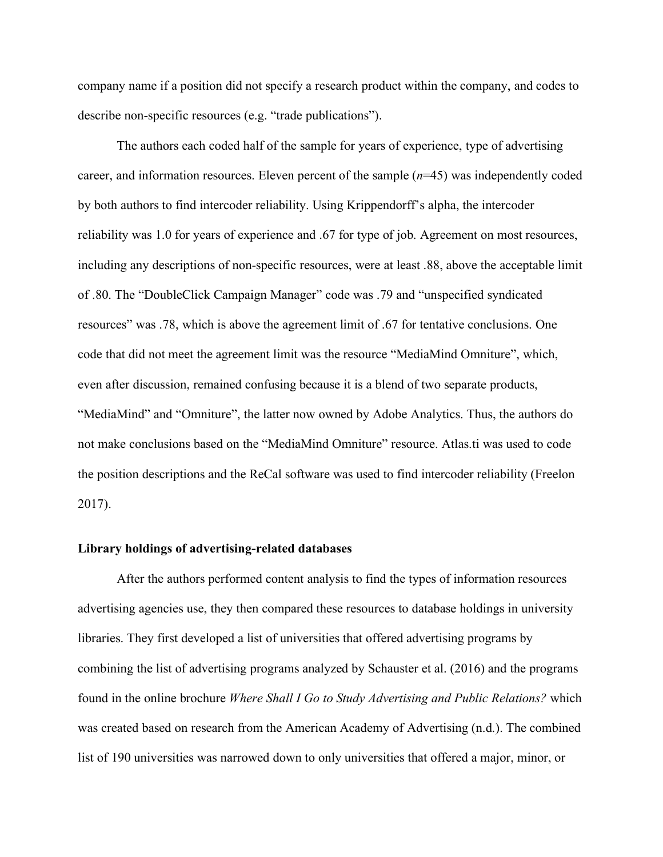company name if a position did not specify a research product within the company, and codes to describe non-specific resources (e.g. "trade publications").

The authors each coded half of the sample for years of experience, type of advertising career, and information resources. Eleven percent of the sample (*n*=45) was independently coded by both authors to find intercoder reliability. Using Krippendorff's alpha, the intercoder reliability was 1.0 for years of experience and .67 for type of job. Agreement on most resources, including any descriptions of non-specific resources, were at least .88, above the acceptable limit of .80. The "DoubleClick Campaign Manager" code was .79 and "unspecified syndicated resources" was .78, which is above the agreement limit of .67 for tentative conclusions. One code that did not meet the agreement limit was the resource "MediaMind Omniture", which, even after discussion, remained confusing because it is a blend of two separate products, "MediaMind" and "Omniture", the latter now owned by Adobe Analytics. Thus, the authors do not make conclusions based on the "MediaMind Omniture" resource. Atlas.ti was used to code the position descriptions and the ReCal software was used to find intercoder reliability (Freelon 2017).

#### **Library holdings of advertising-related databases**

After the authors performed content analysis to find the types of information resources advertising agencies use, they then compared these resources to database holdings in university libraries. They first developed a list of universities that offered advertising programs by combining the list of advertising programs analyzed by Schauster et al. (2016) and the programs found in the online brochure *Where Shall I Go to Study Advertising and Public Relations?* which was created based on research from the American Academy of Advertising (n.d.). The combined list of 190 universities was narrowed down to only universities that offered a major, minor, or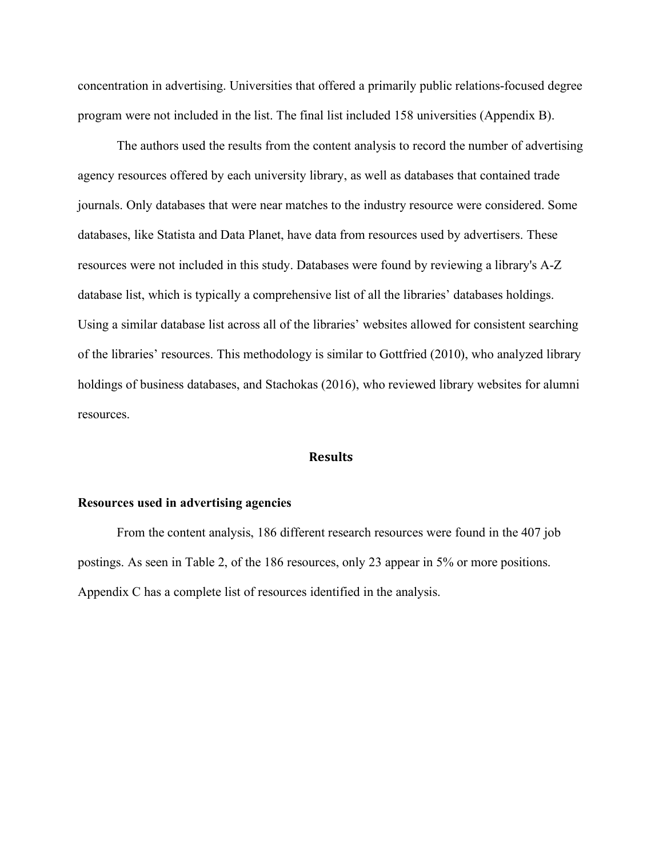concentration in advertising. Universities that offered a primarily public relations-focused degree program were not included in the list. The final list included 158 universities (Appendix B).

The authors used the results from the content analysis to record the number of advertising agency resources offered by each university library, as well as databases that contained trade journals. Only databases that were near matches to the industry resource were considered. Some databases, like Statista and Data Planet, have data from resources used by advertisers. These resources were not included in this study. Databases were found by reviewing a library's A-Z database list, which is typically a comprehensive list of all the libraries' databases holdings. Using a similar database list across all of the libraries' websites allowed for consistent searching of the libraries' resources. This methodology is similar to Gottfried (2010), who analyzed library holdings of business databases, and Stachokas (2016), who reviewed library websites for alumni resources.

### **Results**

# **Resources used in advertising agencies**

From the content analysis, 186 different research resources were found in the 407 job postings. As seen in Table 2, of the 186 resources, only 23 appear in 5% or more positions. Appendix C has a complete list of resources identified in the analysis.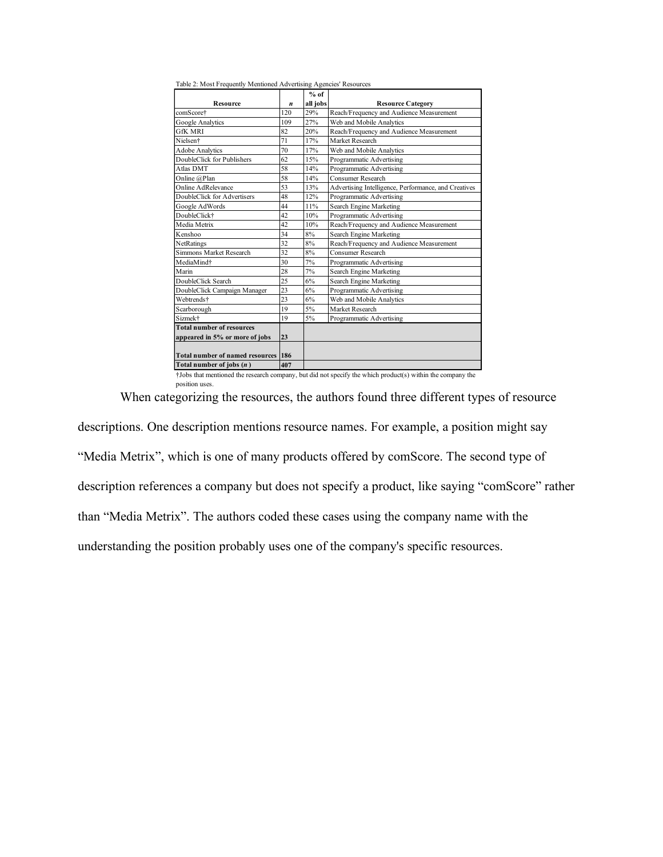| Table 2: Most Frequently Mentioned Advertising Agencies' Resources |     |                                                                                                                                                                                                                                      |                                                      |
|--------------------------------------------------------------------|-----|--------------------------------------------------------------------------------------------------------------------------------------------------------------------------------------------------------------------------------------|------------------------------------------------------|
|                                                                    |     | $%$ of                                                                                                                                                                                                                               |                                                      |
| <b>Resource</b>                                                    | n   | all jobs                                                                                                                                                                                                                             | <b>Resource Category</b>                             |
| comScore†                                                          | 120 | 29%                                                                                                                                                                                                                                  | Reach/Frequency and Audience Measurement             |
| Google Analytics                                                   | 109 | 27%                                                                                                                                                                                                                                  | Web and Mobile Analytics                             |
| <b>GfK MRI</b>                                                     | 82  | 20%                                                                                                                                                                                                                                  | Reach/Frequency and Audience Measurement             |
| Nielsen <sup>+</sup>                                               | 71  | 17%                                                                                                                                                                                                                                  | Market Research                                      |
| <b>Adobe Analytics</b>                                             | 70  | 17%                                                                                                                                                                                                                                  | Web and Mobile Analytics                             |
| DoubleClick for Publishers                                         | 62  | 15%                                                                                                                                                                                                                                  | Programmatic Advertising                             |
| Atlas DMT                                                          | 58  | 14%                                                                                                                                                                                                                                  | Programmatic Advertising                             |
| Online @Plan                                                       | 58  | 14%                                                                                                                                                                                                                                  | <b>Consumer Research</b>                             |
| Online AdRelevance                                                 | 53  | 13%                                                                                                                                                                                                                                  | Advertising Intelligence, Performance, and Creatives |
| DoubleClick for Advertisers                                        | 48  | 12%                                                                                                                                                                                                                                  | Programmatic Advertising                             |
| Google AdWords                                                     | 44  | 11%                                                                                                                                                                                                                                  | Search Engine Marketing                              |
| DoubleClick <sup>+</sup>                                           | 42  | 10%                                                                                                                                                                                                                                  | Programmatic Advertising                             |
| Media Metrix                                                       | 42  | 10%                                                                                                                                                                                                                                  | Reach/Frequency and Audience Measurement             |
| Kenshoo                                                            | 34  | 8%                                                                                                                                                                                                                                   | Search Engine Marketing                              |
| NetRatings                                                         | 32  | 8%                                                                                                                                                                                                                                   | Reach/Frequency and Audience Measurement             |
| Simmons Market Research                                            | 32  | 8%                                                                                                                                                                                                                                   | Consumer Research                                    |
| MediaMind <sup>+</sup>                                             | 30  | 7%                                                                                                                                                                                                                                   | Programmatic Advertising                             |
| Marin                                                              | 28  | 7%                                                                                                                                                                                                                                   | Search Engine Marketing                              |
| DoubleClick Search                                                 | 25  | 6%                                                                                                                                                                                                                                   | Search Engine Marketing                              |
| DoubleClick Campaign Manager                                       | 23  | 6%                                                                                                                                                                                                                                   | Programmatic Advertising                             |
| Webtrends†                                                         | 23  | 6%                                                                                                                                                                                                                                   | Web and Mobile Analytics                             |
| Scarborough                                                        | 19  | 5%                                                                                                                                                                                                                                   | Market Research                                      |
| Sizmek <sup>+</sup>                                                | 19  | 5%                                                                                                                                                                                                                                   | Programmatic Advertising                             |
| <b>Total number of resources</b>                                   |     |                                                                                                                                                                                                                                      |                                                      |
| appeared in 5% or more of jobs                                     | 23  |                                                                                                                                                                                                                                      |                                                      |
|                                                                    |     |                                                                                                                                                                                                                                      |                                                      |
| <b>Total number of named resources</b>                             | 186 |                                                                                                                                                                                                                                      |                                                      |
| Total number of jobs $(n)$                                         | 407 |                                                                                                                                                                                                                                      |                                                      |
|                                                                    |     | <b>The Contract Contract Contract Contract Contract Contract Contract Contract Contract Contract Contract Contract Contract Contract Contract Contract Contract Contract Contract Contract Contract Contract Contract Contract C</b> | the same in the country special charter and          |

†Jobs that mentioned the research company, but did not specify the which product(s) within the company the

position uses.

When categorizing the resources, the authors found three different types of resource descriptions. One description mentions resource names. For example, a position might say "Media Metrix", which is one of many products offered by comScore. The second type of description references a company but does not specify a product, like saying "comScore" rather than "Media Metrix". The authors coded these cases using the company name with the understanding the position probably uses one of the company's specific resources.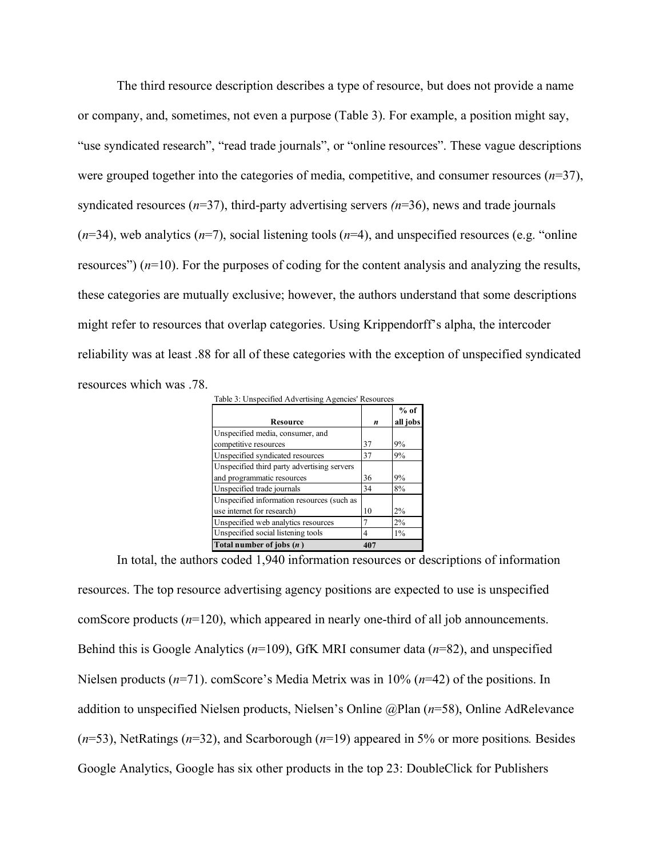The third resource description describes a type of resource, but does not provide a name or company, and, sometimes, not even a purpose (Table 3). For example, a position might say, "use syndicated research", "read trade journals", or "online resources". These vague descriptions were grouped together into the categories of media, competitive, and consumer resources (*n*=37), syndicated resources (*n*=37), third-party advertising servers *(n*=36), news and trade journals  $(n=34)$ , web analytics  $(n=7)$ , social listening tools  $(n=4)$ , and unspecified resources (e.g. "online") resources") (*n*=10). For the purposes of coding for the content analysis and analyzing the results, these categories are mutually exclusive; however, the authors understand that some descriptions might refer to resources that overlap categories. Using Krippendorff's alpha, the intercoder reliability was at least .88 for all of these categories with the exception of unspecified syndicated resources which was .78. ntiana.<br>Table 3: Unemperified Advertising Agencies' D

| Table 3: Unspecified Advertising Agencies Resources |     |          |
|-----------------------------------------------------|-----|----------|
|                                                     |     | $%$ of   |
| Resource                                            | n   | all jobs |
| Unspecified media, consumer, and                    |     |          |
| competitive resources                               | 37  | 9%       |
| Unspecified syndicated resources                    | 37  | 9%       |
| Unspecified third party advertising servers         |     |          |
| and programmatic resources                          | 36  | 9%       |
| Unspecified trade journals                          | 34  | 8%       |
| Unspecified information resources (such as          |     |          |
| use internet for research)                          | 10  | 2%       |
| Unspecified web analytics resources                 |     | 2%       |
| Unspecified social listening tools                  | 4   | $1\%$    |
| Total number of jobs $(n)$                          | 407 |          |

In total, the authors coded 1,940 information resources or descriptions of information resources. The top resource advertising agency positions are expected to use is unspecified comScore products (*n*=120), which appeared in nearly one-third of all job announcements. Behind this is Google Analytics (*n*=109), GfK MRI consumer data (*n*=82), and unspecified Nielsen products (*n*=71). comScore's Media Metrix was in 10% (*n*=42) of the positions. In addition to unspecified Nielsen products, Nielsen's Online @Plan (*n*=58), Online AdRelevance (*n*=53), NetRatings (*n*=32), and Scarborough (*n*=19) appeared in 5% or more positions*.* Besides Google Analytics, Google has six other products in the top 23: DoubleClick for Publishers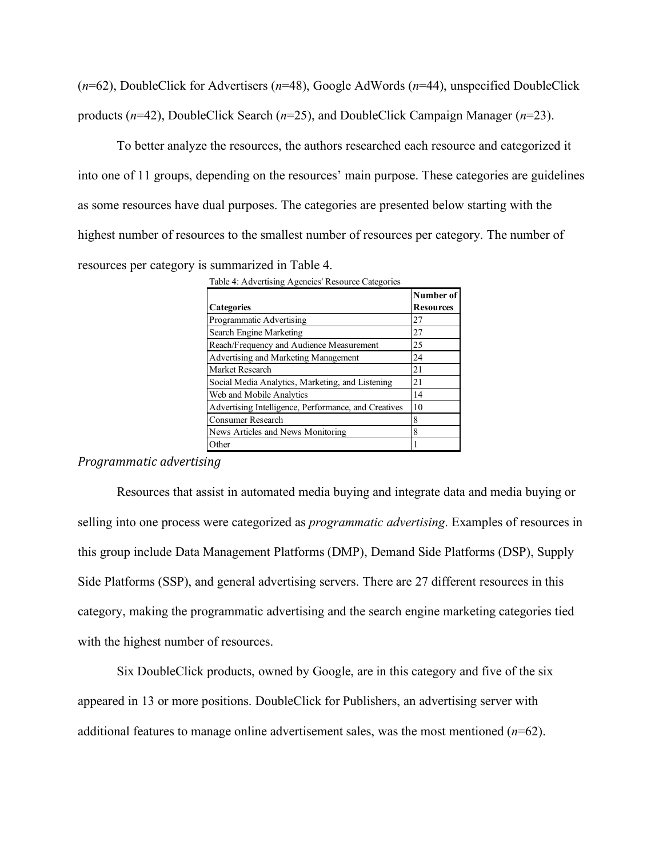(*n*=62), DoubleClick for Advertisers (*n*=48), Google AdWords (*n*=44), unspecified DoubleClick products (*n*=42), DoubleClick Search (*n*=25), and DoubleClick Campaign Manager (*n*=23).

To better analyze the resources, the authors researched each resource and categorized it into one of 11 groups, depending on the resources' main purpose. These categories are guidelines as some resources have dual purposes. The categories are presented below starting with the highest number of resources to the smallest number of resources per category. The number of resources per category is summarized in Table 4.

| Table 4: Advertising Agencies' Resource Categories |  |  |
|----------------------------------------------------|--|--|
|                                                    |  |  |

|                                                      | Number of        |
|------------------------------------------------------|------------------|
| <b>Categories</b>                                    | <b>Resources</b> |
| Programmatic Advertising                             | 27               |
| Search Engine Marketing                              | 27               |
| Reach/Frequency and Audience Measurement             | 25               |
| Advertising and Marketing Management                 | 24               |
| Market Research                                      | 21               |
| Social Media Analytics, Marketing, and Listening     | 21               |
| Web and Mobile Analytics                             | 14               |
| Advertising Intelligence, Performance, and Creatives | 10               |
| Consumer Research                                    | 8                |
| News Articles and News Monitoring                    | 8                |
| Other                                                |                  |

*Programmatic advertising*

Resources that assist in automated media buying and integrate data and media buying or selling into one process were categorized as *programmatic advertising*. Examples of resources in this group include Data Management Platforms (DMP), Demand Side Platforms (DSP), Supply Side Platforms (SSP), and general advertising servers. There are 27 different resources in this category, making the programmatic advertising and the search engine marketing categories tied with the highest number of resources.

Six DoubleClick products, owned by Google, are in this category and five of the six appeared in 13 or more positions. DoubleClick for Publishers, an advertising server with additional features to manage online advertisement sales, was the most mentioned (*n*=62).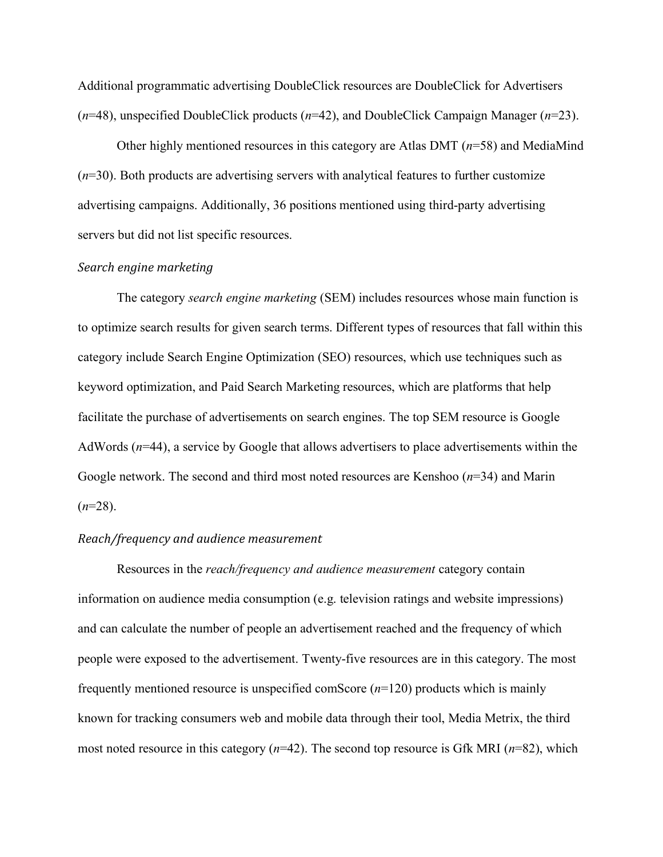Additional programmatic advertising DoubleClick resources are DoubleClick for Advertisers (*n*=48), unspecified DoubleClick products (*n*=42), and DoubleClick Campaign Manager (*n*=23).

Other highly mentioned resources in this category are Atlas DMT (*n*=58) and MediaMind (*n*=30). Both products are advertising servers with analytical features to further customize advertising campaigns. Additionally, 36 positions mentioned using third-party advertising servers but did not list specific resources.

# *Search engine marketing*

The category *search engine marketing* (SEM) includes resources whose main function is to optimize search results for given search terms. Different types of resources that fall within this category include Search Engine Optimization (SEO) resources, which use techniques such as keyword optimization, and Paid Search Marketing resources, which are platforms that help facilitate the purchase of advertisements on search engines. The top SEM resource is Google AdWords (*n*=44), a service by Google that allows advertisers to place advertisements within the Google network. The second and third most noted resources are Kenshoo (*n*=34) and Marin  $(n=28)$ .

### *Reach/frequency and audience measurement*

Resources in the *reach/frequency and audience measurement* category contain information on audience media consumption (e.g. television ratings and website impressions) and can calculate the number of people an advertisement reached and the frequency of which people were exposed to the advertisement. Twenty-five resources are in this category. The most frequently mentioned resource is unspecified comScore (*n*=120) products which is mainly known for tracking consumers web and mobile data through their tool, Media Metrix, the third most noted resource in this category (*n*=42). The second top resource is Gfk MRI (*n*=82), which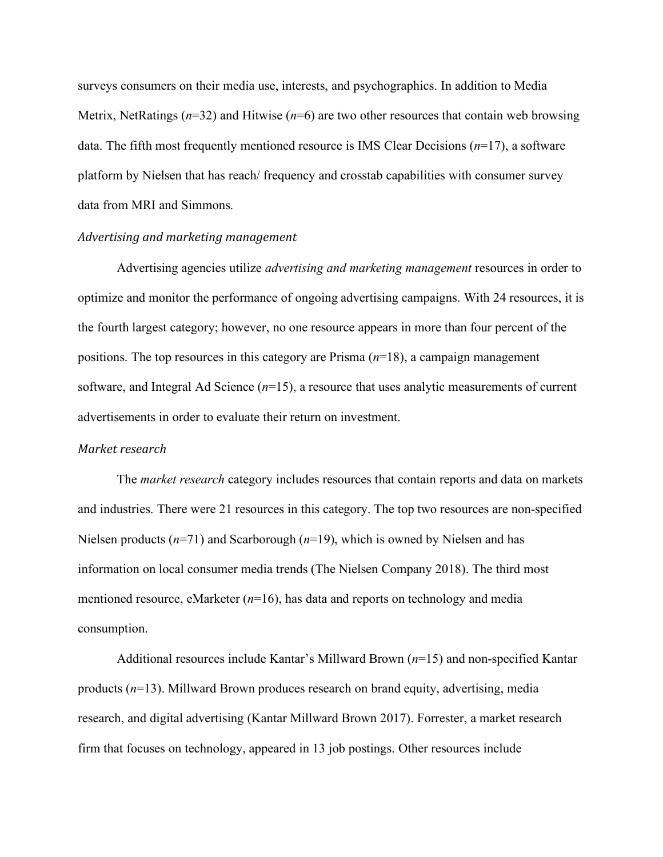surveys consumers on their media use, interests, and psychographics. In addition to Media Metrix, NetRatings (*n*=32) and Hitwise (*n*=6) are two other resources that contain web browsing data. The fifth most frequently mentioned resource is IMS Clear Decisions (*n*=17), a software platform by Nielsen that has reach/ frequency and crosstab capabilities with consumer survey data from MRI and Simmons.

#### Advertising and marketing management

Advertising agencies utilize *advertising and marketing management* resources in order to optimize and monitor the performance of ongoing advertising campaigns. With 24 resources, it is the fourth largest category; however, no one resource appears in more than four percent of the positions. The top resources in this category are Prisma (*n*=18), a campaign management software, and Integral Ad Science (*n*=15), a resource that uses analytic measurements of current advertisements in order to evaluate their return on investment.

#### *Market research*

The *market research* category includes resources that contain reports and data on markets and industries. There were 21 resources in this category. The top two resources are non-specified Nielsen products (*n*=71) and Scarborough (*n*=19), which is owned by Nielsen and has information on local consumer media trends (The Nielsen Company 2018). The third most mentioned resource, eMarketer (*n*=16), has data and reports on technology and media consumption.

Additional resources include Kantar's Millward Brown (*n*=15) and non-specified Kantar products (*n*=13). Millward Brown produces research on brand equity, advertising, media research, and digital advertising (Kantar Millward Brown 2017). Forrester, a market research firm that focuses on technology, appeared in 13 job postings. Other resources include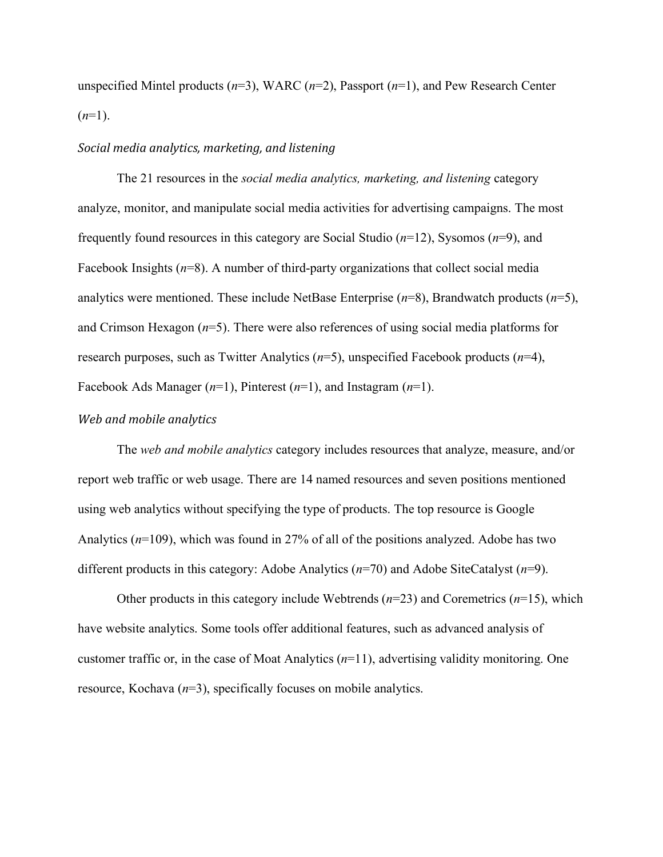unspecified Mintel products (*n*=3), WARC (*n*=2), Passport (*n*=1), and Pew Research Center  $(n=1)$ .

#### *Social media analytics, marketing, and listening*

The 21 resources in the *social media analytics, marketing, and listening* category analyze, monitor, and manipulate social media activities for advertising campaigns. The most frequently found resources in this category are Social Studio (*n*=12), Sysomos (*n*=9), and Facebook Insights ( $n=8$ ). A number of third-party organizations that collect social media analytics were mentioned. These include NetBase Enterprise (*n*=8), Brandwatch products (*n*=5), and Crimson Hexagon (*n*=5). There were also references of using social media platforms for research purposes, such as Twitter Analytics (*n*=5), unspecified Facebook products (*n*=4), Facebook Ads Manager (*n*=1), Pinterest (*n*=1), and Instagram (*n*=1).

## *Web and mobile analytics*

The *web and mobile analytics* category includes resources that analyze, measure, and/or report web traffic or web usage. There are 14 named resources and seven positions mentioned using web analytics without specifying the type of products. The top resource is Google Analytics (*n*=109), which was found in 27% of all of the positions analyzed. Adobe has two different products in this category: Adobe Analytics (*n*=70) and Adobe SiteCatalyst (*n*=9).

Other products in this category include Webtrends (*n*=23) and Coremetrics (*n*=15), which have website analytics. Some tools offer additional features, such as advanced analysis of customer traffic or, in the case of Moat Analytics (*n*=11), advertising validity monitoring. One resource, Kochava (*n*=3), specifically focuses on mobile analytics.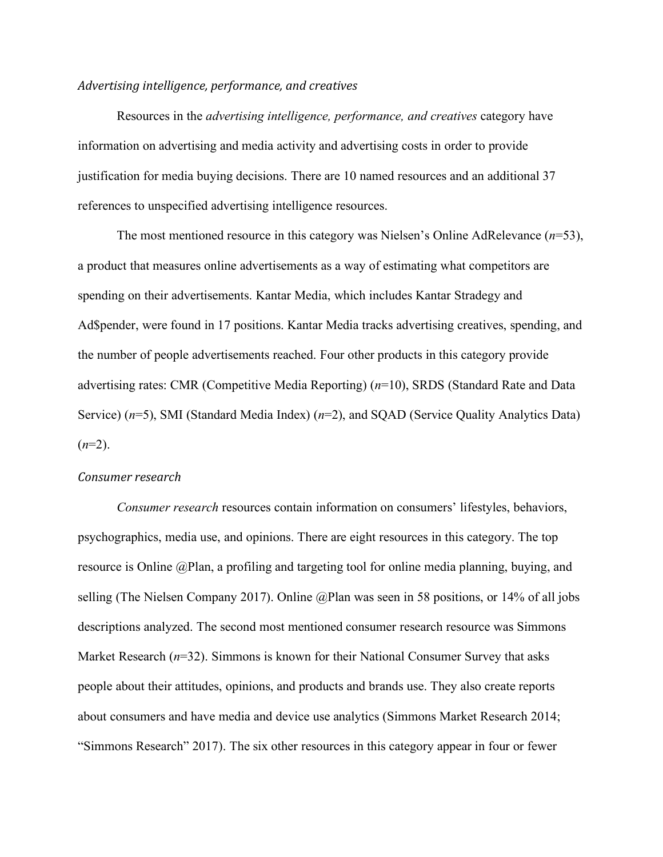### *Advertising intelligence, performance, and creatives*

Resources in the *advertising intelligence, performance, and creatives* category have information on advertising and media activity and advertising costs in order to provide justification for media buying decisions. There are 10 named resources and an additional 37 references to unspecified advertising intelligence resources.

The most mentioned resource in this category was Nielsen's Online AdRelevance (*n*=53), a product that measures online advertisements as a way of estimating what competitors are spending on their advertisements. Kantar Media, which includes Kantar Stradegy and Ad\$pender, were found in 17 positions. Kantar Media tracks advertising creatives, spending, and the number of people advertisements reached. Four other products in this category provide advertising rates: CMR (Competitive Media Reporting) (*n*=10), SRDS (Standard Rate and Data Service) (*n*=5), SMI (Standard Media Index) (*n*=2), and SQAD (Service Quality Analytics Data)  $(n=2)$ .

#### *Consumer research*

*Consumer research* resources contain information on consumers' lifestyles, behaviors, psychographics, media use, and opinions. There are eight resources in this category. The top resource is Online @Plan, a profiling and targeting tool for online media planning, buying, and selling (The Nielsen Company 2017). Online @Plan was seen in 58 positions, or 14% of all jobs descriptions analyzed. The second most mentioned consumer research resource was Simmons Market Research (*n*=32). Simmons is known for their National Consumer Survey that asks people about their attitudes, opinions, and products and brands use. They also create reports about consumers and have media and device use analytics (Simmons Market Research 2014; "Simmons Research" 2017). The six other resources in this category appear in four or fewer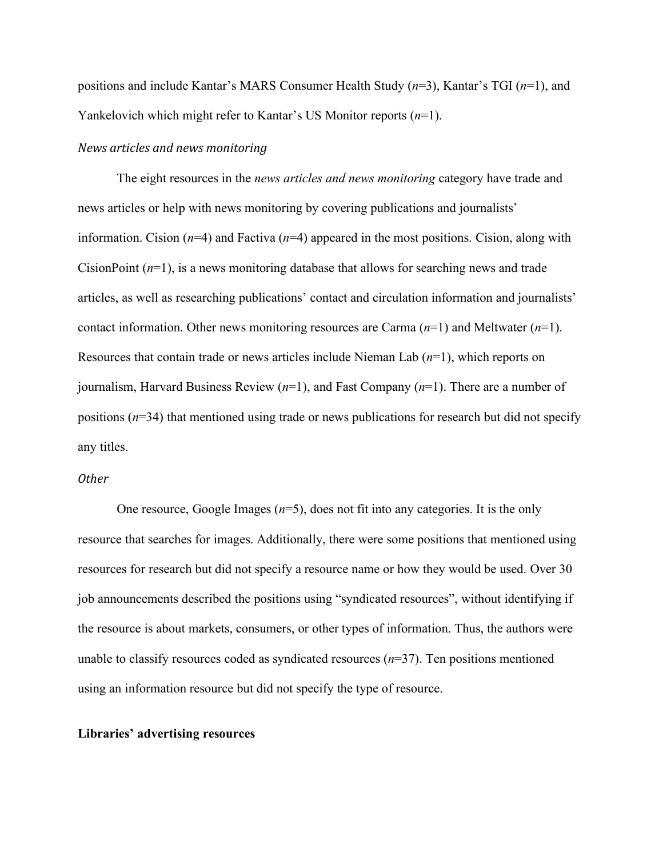positions and include Kantar's MARS Consumer Health Study (*n*=3), Kantar's TGI (*n*=1), and Yankelovich which might refer to Kantar's US Monitor reports (*n*=1).

# *News articles and news monitoring*

The eight resources in the *news articles and news monitoring* category have trade and news articles or help with news monitoring by covering publications and journalists' information. Cision (*n*=4) and Factiva (*n*=4) appeared in the most positions. Cision, along with CisionPoint (*n*=1), is a news monitoring database that allows for searching news and trade articles, as well as researching publications' contact and circulation information and journalists' contact information. Other news monitoring resources are Carma (*n*=1) and Meltwater (*n*=1). Resources that contain trade or news articles include Nieman Lab (*n*=1), which reports on journalism, Harvard Business Review (*n*=1), and Fast Company (*n*=1). There are a number of positions (*n*=34) that mentioned using trade or news publications for research but did not specify any titles.

# *Other*

One resource, Google Images (*n*=5), does not fit into any categories. It is the only resource that searches for images. Additionally, there were some positions that mentioned using resources for research but did not specify a resource name or how they would be used. Over 30 job announcements described the positions using "syndicated resources", without identifying if the resource is about markets, consumers, or other types of information. Thus, the authors were unable to classify resources coded as syndicated resources  $(n=37)$ . Ten positions mentioned using an information resource but did not specify the type of resource.

# **Libraries' advertising resources**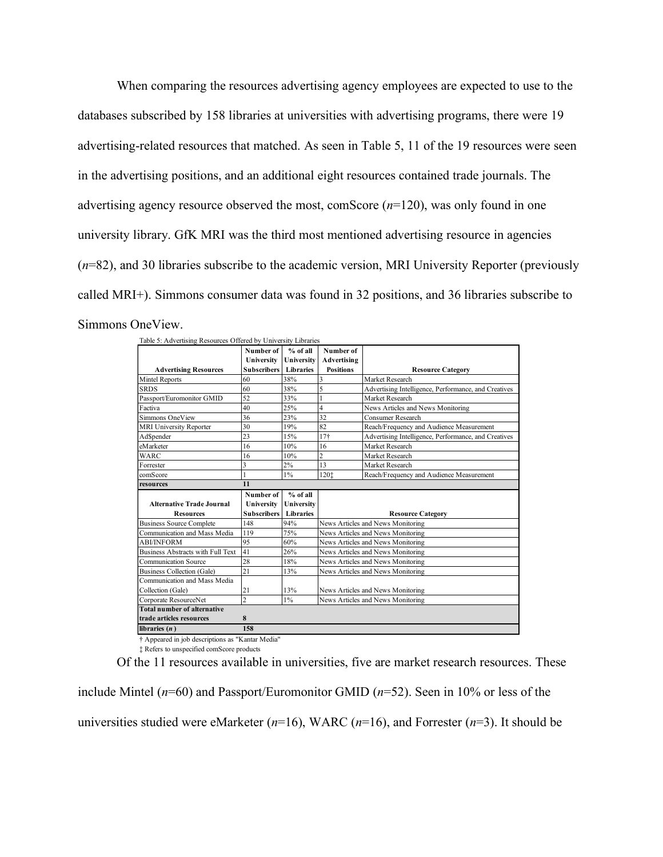When comparing the resources advertising agency employees are expected to use to the databases subscribed by 158 libraries at universities with advertising programs, there were 19 advertising-related resources that matched. As seen in Table 5, 11 of the 19 resources were seen in the advertising positions, and an additional eight resources contained trade journals. The advertising agency resource observed the most, comScore (*n*=120), was only found in one university library. GfK MRI was the third most mentioned advertising resource in agencies (*n*=82), and 30 libraries subscribe to the academic version, MRI University Reporter (previously called MRI+). Simmons consumer data was found in 32 positions, and 36 libraries subscribe to Simmons OneView.

| Table 5: Advertising Resources Offered by University Libraries |                    |                  |                                   |                                                      |
|----------------------------------------------------------------|--------------------|------------------|-----------------------------------|------------------------------------------------------|
|                                                                | Number of          | % of all         | Number of                         |                                                      |
|                                                                | University         | University       | Advertising                       |                                                      |
| <b>Advertising Resources</b>                                   | <b>Subscribers</b> | <b>Libraries</b> | <b>Positions</b>                  | <b>Resource Category</b>                             |
| Mintel Reports                                                 | 60                 | 38%              | 3                                 | Market Research                                      |
| <b>SRDS</b>                                                    | 60                 | 38%              | 5                                 | Advertising Intelligence, Performance, and Creatives |
| Passport/Euromonitor GMID                                      | 52                 | 33%              | 1                                 | Market Research                                      |
| Factiva                                                        | 40                 | 25%              | $\overline{4}$                    | News Articles and News Monitoring                    |
| Simmons OneView                                                | 36                 | 23%              | 32                                | Consumer Research                                    |
| <b>MRI University Reporter</b>                                 | 30                 | 19%              | 82                                | Reach/Frequency and Audience Measurement             |
| Ad\$pender                                                     | 23                 | 15%              | 17 <sup>†</sup>                   | Advertising Intelligence, Performance, and Creatives |
| eMarketer                                                      | 16                 | 10%              | 16                                | Market Research                                      |
| WARC                                                           | 16                 | 10%              | $\overline{c}$                    | Market Research                                      |
| Forrester                                                      | 3                  | 2%               | 13                                | Market Research                                      |
| comScore                                                       |                    | $1\%$            | 1201                              | Reach/Frequency and Audience Measurement             |
| resources                                                      | 11                 |                  |                                   |                                                      |
|                                                                | Number of          | $%$ of all       |                                   |                                                      |
| <b>Alternative Trade Journal</b>                               | University         | University       |                                   |                                                      |
| <b>Resources</b>                                               | <b>Subscribers</b> | <b>Libraries</b> |                                   | <b>Resource Category</b>                             |
| <b>Business Source Complete</b>                                | 148                | 94%              |                                   | News Articles and News Monitoring                    |
| Communication and Mass Media                                   | 119                | 75%              |                                   | News Articles and News Monitoring                    |
| <b>ABI/INFORM</b>                                              | 95                 | 60%              |                                   | News Articles and News Monitoring                    |
| Business Abstracts with Full Text                              | 41                 | 26%              | News Articles and News Monitoring |                                                      |
|                                                                |                    |                  |                                   |                                                      |
| <b>Communication Source</b>                                    | 28                 | 18%              |                                   | News Articles and News Monitoring                    |
| Business Collection (Gale)                                     | 21                 | 13%              |                                   | News Articles and News Monitoring                    |
| Communication and Mass Media                                   |                    |                  |                                   |                                                      |
| Collection (Gale)                                              | 21                 | 13%              |                                   | News Articles and News Monitoring                    |
| Corporate ResourceNet                                          | $\overline{c}$     | $1\%$            |                                   | News Articles and News Monitoring                    |
| <b>Total number of alternative</b>                             |                    |                  |                                   |                                                      |
| trade articles resources                                       | 8                  |                  |                                   |                                                      |
| libraries $(n)$                                                | 158                |                  |                                   |                                                      |

‡ Refers to unspecified comScore products

Of the 11 resources available in universities, five are market research resources. These

include Mintel (*n*=60) and Passport/Euromonitor GMID (*n*=52). Seen in 10% or less of the universities studied were eMarketer (*n*=16), WARC (*n*=16), and Forrester (*n*=3). It should be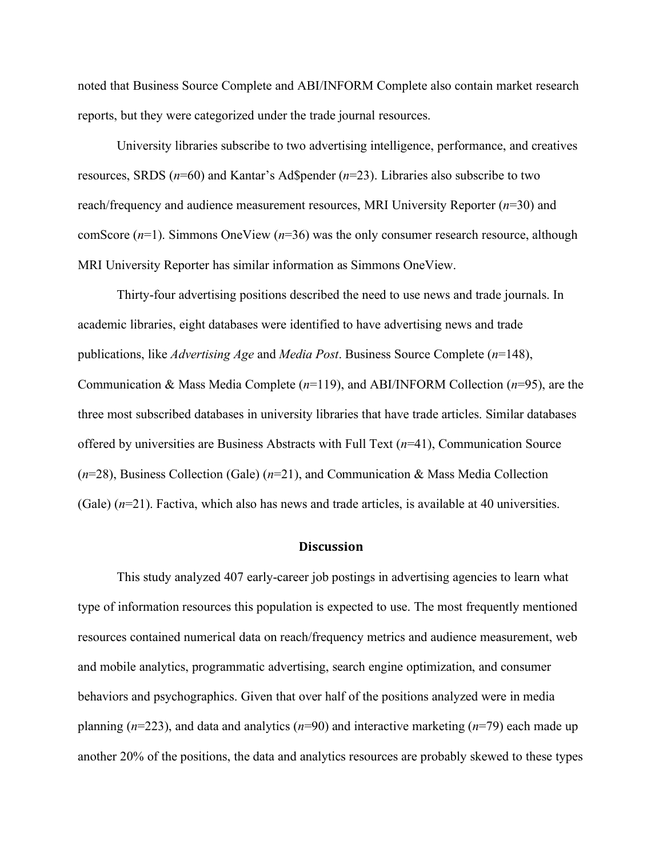noted that Business Source Complete and ABI/INFORM Complete also contain market research reports, but they were categorized under the trade journal resources.

University libraries subscribe to two advertising intelligence, performance, and creatives resources, SRDS (*n*=60) and Kantar's Ad\$pender (*n*=23). Libraries also subscribe to two reach/frequency and audience measurement resources, MRI University Reporter (*n*=30) and comScore (*n*=1). Simmons OneView (*n*=36) was the only consumer research resource, although MRI University Reporter has similar information as Simmons OneView.

Thirty-four advertising positions described the need to use news and trade journals. In academic libraries, eight databases were identified to have advertising news and trade publications, like *Advertising Age* and *Media Post*. Business Source Complete (*n*=148), Communication & Mass Media Complete (*n*=119), and ABI/INFORM Collection (*n*=95), are the three most subscribed databases in university libraries that have trade articles. Similar databases offered by universities are Business Abstracts with Full Text (*n*=41), Communication Source (*n*=28), Business Collection (Gale) (*n*=21), and Communication & Mass Media Collection (Gale) (*n*=21). Factiva, which also has news and trade articles, is available at 40 universities.

#### **Discussion**

This study analyzed 407 early-career job postings in advertising agencies to learn what type of information resources this population is expected to use. The most frequently mentioned resources contained numerical data on reach/frequency metrics and audience measurement, web and mobile analytics, programmatic advertising, search engine optimization, and consumer behaviors and psychographics. Given that over half of the positions analyzed were in media planning (*n*=223), and data and analytics (*n*=90) and interactive marketing (*n*=79) each made up another 20% of the positions, the data and analytics resources are probably skewed to these types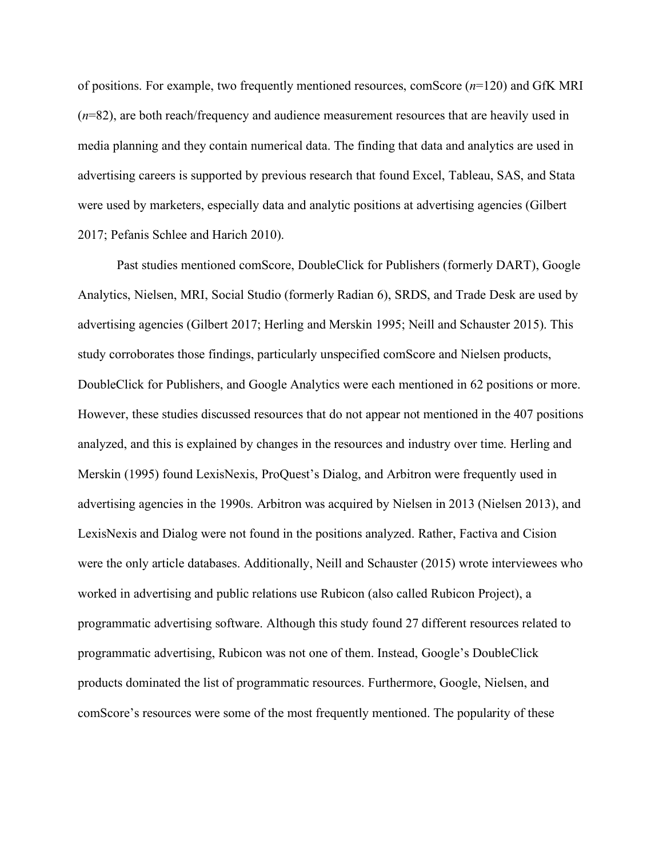of positions. For example, two frequently mentioned resources, comScore (*n*=120) and GfK MRI (*n*=82), are both reach/frequency and audience measurement resources that are heavily used in media planning and they contain numerical data. The finding that data and analytics are used in advertising careers is supported by previous research that found Excel, Tableau, SAS, and Stata were used by marketers, especially data and analytic positions at advertising agencies (Gilbert 2017; Pefanis Schlee and Harich 2010).

Past studies mentioned comScore, DoubleClick for Publishers (formerly DART), Google Analytics, Nielsen, MRI, Social Studio (formerly Radian 6), SRDS, and Trade Desk are used by advertising agencies (Gilbert 2017; Herling and Merskin 1995; Neill and Schauster 2015). This study corroborates those findings, particularly unspecified comScore and Nielsen products, DoubleClick for Publishers, and Google Analytics were each mentioned in 62 positions or more. However, these studies discussed resources that do not appear not mentioned in the 407 positions analyzed, and this is explained by changes in the resources and industry over time. Herling and Merskin (1995) found LexisNexis, ProQuest's Dialog, and Arbitron were frequently used in advertising agencies in the 1990s. Arbitron was acquired by Nielsen in 2013 (Nielsen 2013), and LexisNexis and Dialog were not found in the positions analyzed. Rather, Factiva and Cision were the only article databases. Additionally, Neill and Schauster (2015) wrote interviewees who worked in advertising and public relations use Rubicon (also called Rubicon Project), a programmatic advertising software. Although this study found 27 different resources related to programmatic advertising, Rubicon was not one of them. Instead, Google's DoubleClick products dominated the list of programmatic resources. Furthermore, Google, Nielsen, and comScore's resources were some of the most frequently mentioned. The popularity of these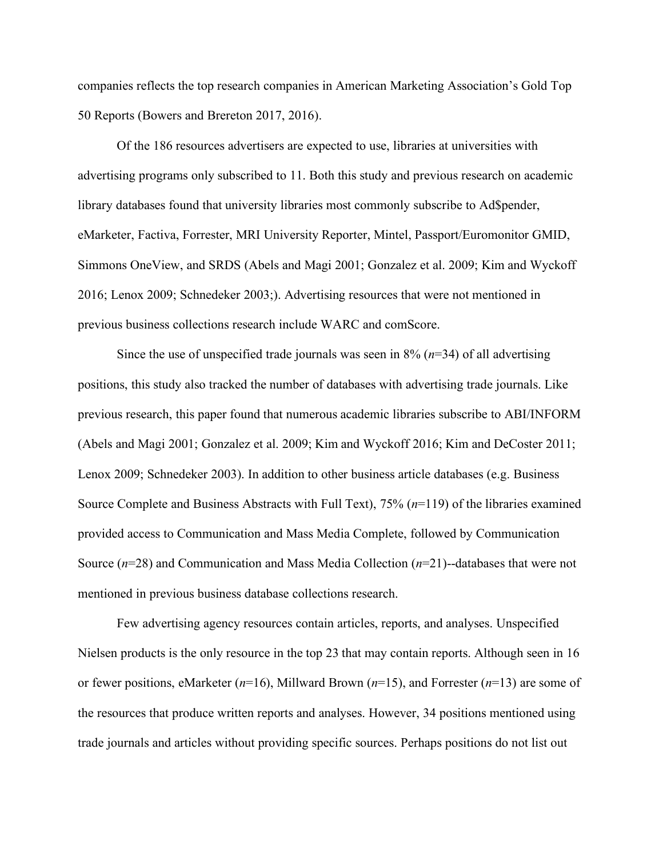companies reflects the top research companies in American Marketing Association's Gold Top 50 Reports (Bowers and Brereton 2017, 2016).

Of the 186 resources advertisers are expected to use, libraries at universities with advertising programs only subscribed to 11. Both this study and previous research on academic library databases found that university libraries most commonly subscribe to Ad\$pender, eMarketer, Factiva, Forrester, MRI University Reporter, Mintel, Passport/Euromonitor GMID, Simmons OneView, and SRDS (Abels and Magi 2001; Gonzalez et al. 2009; Kim and Wyckoff 2016; Lenox 2009; Schnedeker 2003;). Advertising resources that were not mentioned in previous business collections research include WARC and comScore.

Since the use of unspecified trade journals was seen in  $8\%$  ( $n=34$ ) of all advertising positions, this study also tracked the number of databases with advertising trade journals. Like previous research, this paper found that numerous academic libraries subscribe to ABI/INFORM (Abels and Magi 2001; Gonzalez et al. 2009; Kim and Wyckoff 2016; Kim and DeCoster 2011; Lenox 2009; Schnedeker 2003). In addition to other business article databases (e.g. Business Source Complete and Business Abstracts with Full Text), 75% (*n*=119) of the libraries examined provided access to Communication and Mass Media Complete, followed by Communication Source (*n*=28) and Communication and Mass Media Collection (*n*=21)--databases that were not mentioned in previous business database collections research.

Few advertising agency resources contain articles, reports, and analyses. Unspecified Nielsen products is the only resource in the top 23 that may contain reports. Although seen in 16 or fewer positions, eMarketer (*n*=16), Millward Brown (*n*=15), and Forrester (*n*=13) are some of the resources that produce written reports and analyses. However, 34 positions mentioned using trade journals and articles without providing specific sources. Perhaps positions do not list out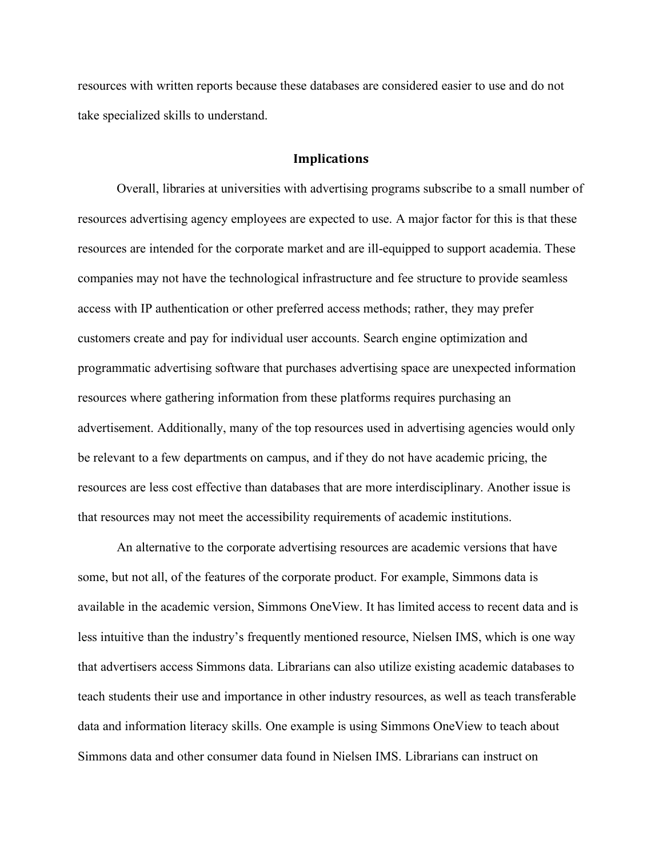resources with written reports because these databases are considered easier to use and do not take specialized skills to understand.

#### **Implications**

Overall, libraries at universities with advertising programs subscribe to a small number of resources advertising agency employees are expected to use. A major factor for this is that these resources are intended for the corporate market and are ill-equipped to support academia. These companies may not have the technological infrastructure and fee structure to provide seamless access with IP authentication or other preferred access methods; rather, they may prefer customers create and pay for individual user accounts. Search engine optimization and programmatic advertising software that purchases advertising space are unexpected information resources where gathering information from these platforms requires purchasing an advertisement. Additionally, many of the top resources used in advertising agencies would only be relevant to a few departments on campus, and if they do not have academic pricing, the resources are less cost effective than databases that are more interdisciplinary. Another issue is that resources may not meet the accessibility requirements of academic institutions.

An alternative to the corporate advertising resources are academic versions that have some, but not all, of the features of the corporate product. For example, Simmons data is available in the academic version, Simmons OneView. It has limited access to recent data and is less intuitive than the industry's frequently mentioned resource, Nielsen IMS, which is one way that advertisers access Simmons data. Librarians can also utilize existing academic databases to teach students their use and importance in other industry resources, as well as teach transferable data and information literacy skills. One example is using Simmons OneView to teach about Simmons data and other consumer data found in Nielsen IMS. Librarians can instruct on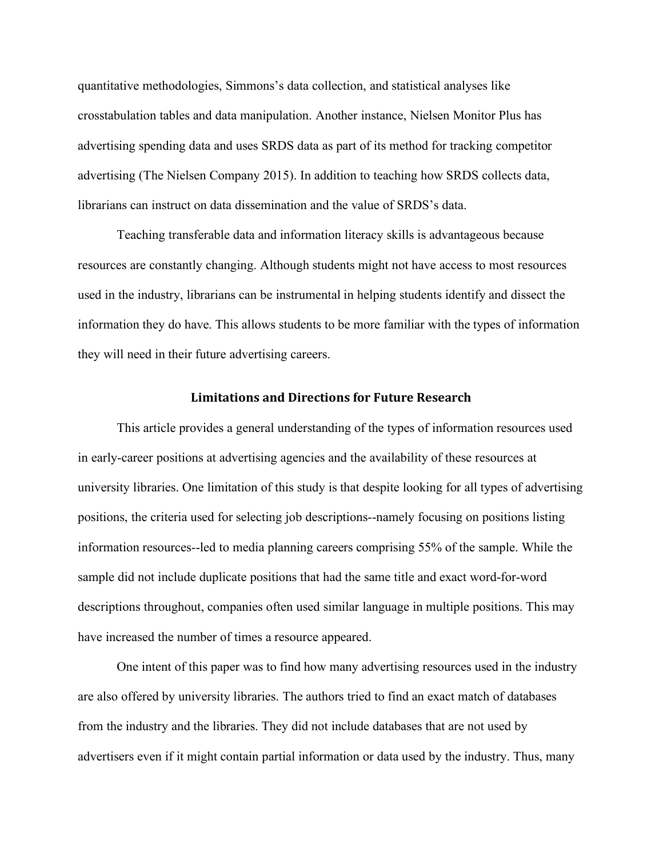quantitative methodologies, Simmons's data collection, and statistical analyses like crosstabulation tables and data manipulation. Another instance, Nielsen Monitor Plus has advertising spending data and uses SRDS data as part of its method for tracking competitor advertising (The Nielsen Company 2015). In addition to teaching how SRDS collects data, librarians can instruct on data dissemination and the value of SRDS's data.

Teaching transferable data and information literacy skills is advantageous because resources are constantly changing. Although students might not have access to most resources used in the industry, librarians can be instrumental in helping students identify and dissect the information they do have. This allows students to be more familiar with the types of information they will need in their future advertising careers.

#### **Limitations and Directions for Future Research**

This article provides a general understanding of the types of information resources used in early-career positions at advertising agencies and the availability of these resources at university libraries. One limitation of this study is that despite looking for all types of advertising positions, the criteria used for selecting job descriptions--namely focusing on positions listing information resources--led to media planning careers comprising 55% of the sample. While the sample did not include duplicate positions that had the same title and exact word-for-word descriptions throughout, companies often used similar language in multiple positions. This may have increased the number of times a resource appeared.

One intent of this paper was to find how many advertising resources used in the industry are also offered by university libraries. The authors tried to find an exact match of databases from the industry and the libraries. They did not include databases that are not used by advertisers even if it might contain partial information or data used by the industry. Thus, many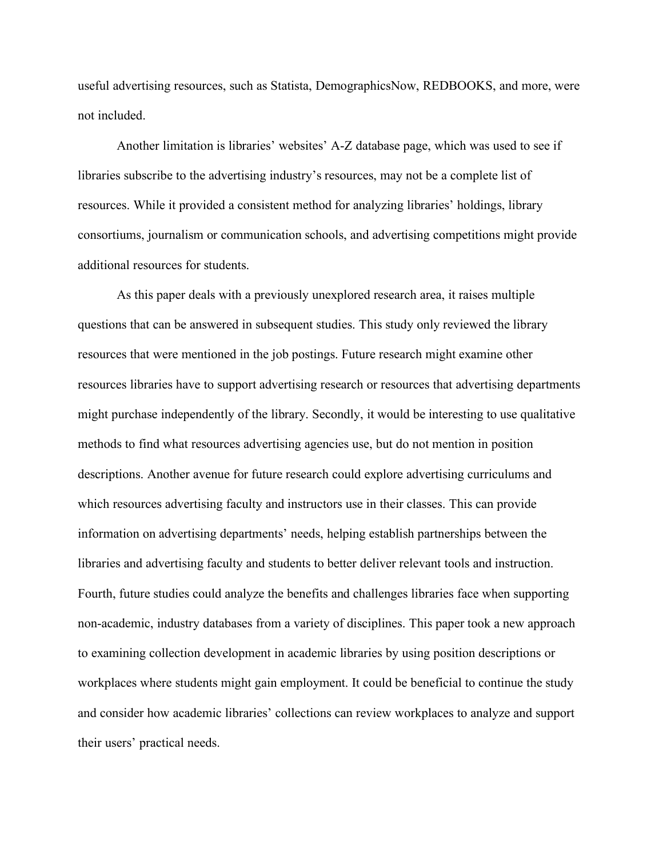useful advertising resources, such as Statista, DemographicsNow, REDBOOKS, and more, were not included.

Another limitation is libraries' websites' A-Z database page, which was used to see if libraries subscribe to the advertising industry's resources, may not be a complete list of resources. While it provided a consistent method for analyzing libraries' holdings, library consortiums, journalism or communication schools, and advertising competitions might provide additional resources for students.

As this paper deals with a previously unexplored research area, it raises multiple questions that can be answered in subsequent studies. This study only reviewed the library resources that were mentioned in the job postings. Future research might examine other resources libraries have to support advertising research or resources that advertising departments might purchase independently of the library. Secondly, it would be interesting to use qualitative methods to find what resources advertising agencies use, but do not mention in position descriptions. Another avenue for future research could explore advertising curriculums and which resources advertising faculty and instructors use in their classes. This can provide information on advertising departments' needs, helping establish partnerships between the libraries and advertising faculty and students to better deliver relevant tools and instruction. Fourth, future studies could analyze the benefits and challenges libraries face when supporting non-academic, industry databases from a variety of disciplines. This paper took a new approach to examining collection development in academic libraries by using position descriptions or workplaces where students might gain employment. It could be beneficial to continue the study and consider how academic libraries' collections can review workplaces to analyze and support their users' practical needs.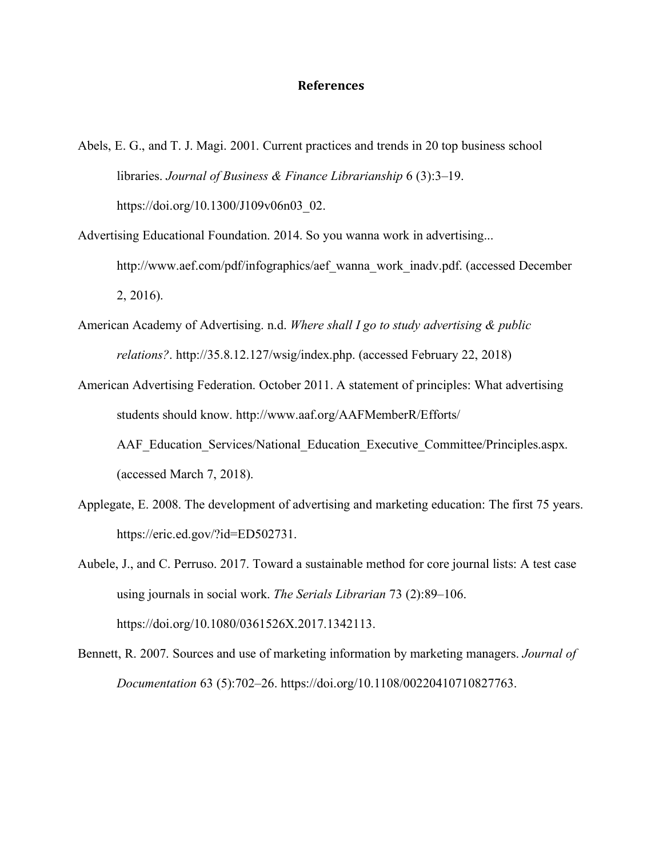### **References**

- Abels, E. G., and T. J. Magi. 2001. Current practices and trends in 20 top business school libraries. *Journal of Business & Finance Librarianship* 6 (3):3–19. https://doi.org/10.1300/J109v06n03\_02.
- Advertising Educational Foundation. 2014. So you wanna work in advertising... http://www.aef.com/pdf/infographics/aef\_wanna\_work\_inadv.pdf. (accessed December 2, 2016).
- American Academy of Advertising. n.d. *Where shall I go to study advertising & public relations?*. http://35.8.12.127/wsig/index.php. (accessed February 22, 2018)
- American Advertising Federation. October 2011. A statement of principles: What advertising students should know. http://www.aaf.org/AAFMemberR/Efforts/
	- AAF Education Services/National Education Executive Committee/Principles.aspx. (accessed March 7, 2018).
- Applegate, E. 2008. The development of advertising and marketing education: The first 75 years. https://eric.ed.gov/?id=ED502731.
- Aubele, J., and C. Perruso. 2017. Toward a sustainable method for core journal lists: A test case using journals in social work. *The Serials Librarian* 73 (2):89–106. https://doi.org/10.1080/0361526X.2017.1342113.
- Bennett, R. 2007. Sources and use of marketing information by marketing managers. *Journal of Documentation* 63 (5):702–26. https://doi.org/10.1108/00220410710827763.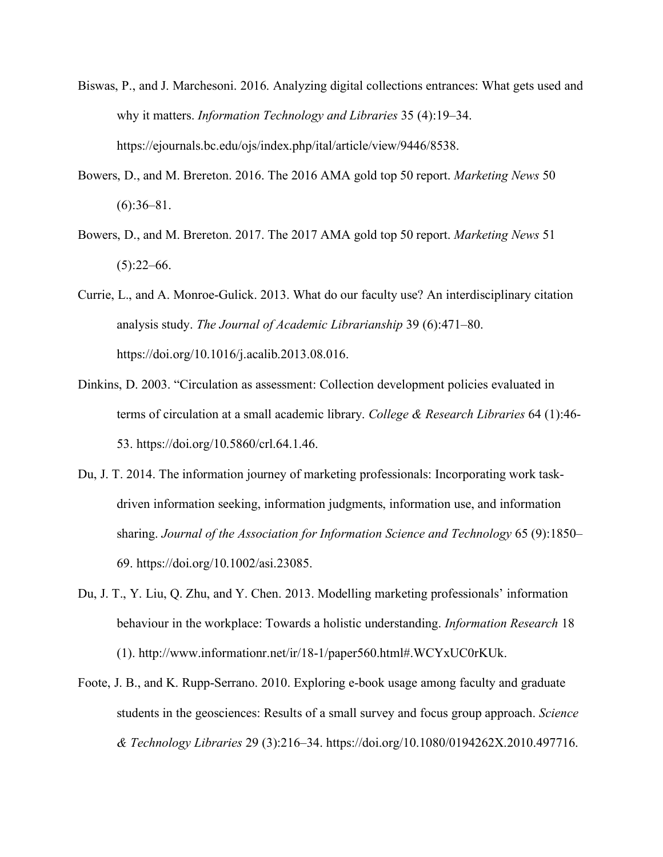- Biswas, P., and J. Marchesoni. 2016. Analyzing digital collections entrances: What gets used and why it matters. *Information Technology and Libraries* 35 (4):19–34. https://ejournals.bc.edu/ojs/index.php/ital/article/view/9446/8538.
- Bowers, D., and M. Brereton. 2016. The 2016 AMA gold top 50 report. *Marketing News* 50  $(6):36-81.$
- Bowers, D., and M. Brereton. 2017. The 2017 AMA gold top 50 report. *Marketing News* 51  $(5):22-66.$
- Currie, L., and A. Monroe-Gulick. 2013. What do our faculty use? An interdisciplinary citation analysis study. *The Journal of Academic Librarianship* 39 (6):471–80. https://doi.org/10.1016/j.acalib.2013.08.016.
- Dinkins, D. 2003. "Circulation as assessment: Collection development policies evaluated in terms of circulation at a small academic library. *College & Research Libraries* 64 (1):46- 53. https://doi.org/10.5860/crl.64.1.46.
- Du, J. T. 2014. The information journey of marketing professionals: Incorporating work taskdriven information seeking, information judgments, information use, and information sharing. *Journal of the Association for Information Science and Technology* 65 (9):1850– 69. https://doi.org/10.1002/asi.23085.
- Du, J. T., Y. Liu, Q. Zhu, and Y. Chen. 2013. Modelling marketing professionals' information behaviour in the workplace: Towards a holistic understanding. *Information Research* 18 (1). http://www.informationr.net/ir/18-1/paper560.html#.WCYxUC0rKUk.
- Foote, J. B., and K. Rupp-Serrano. 2010. Exploring e-book usage among faculty and graduate students in the geosciences: Results of a small survey and focus group approach. *Science & Technology Libraries* 29 (3):216–34. https://doi.org/10.1080/0194262X.2010.497716.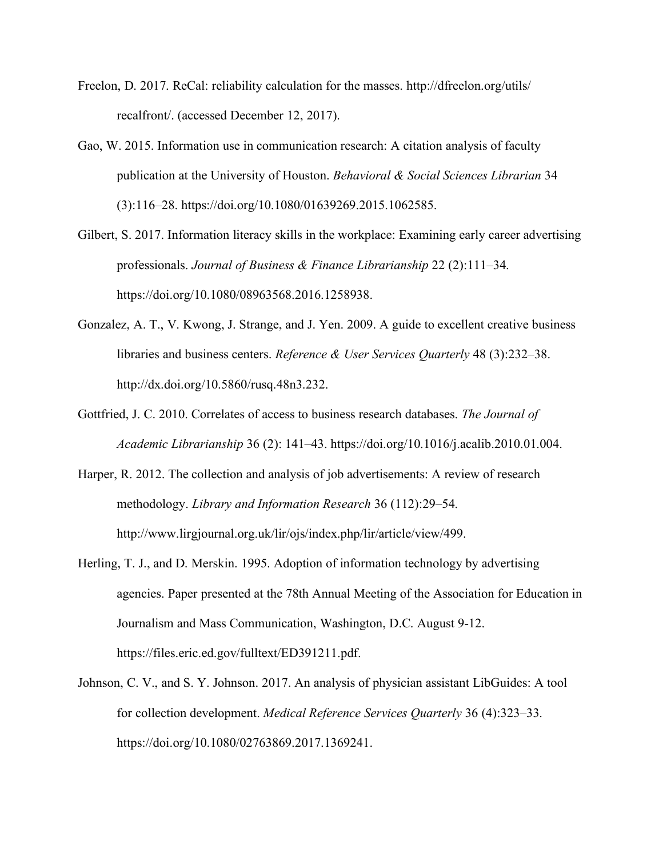- Freelon, D. 2017. ReCal: reliability calculation for the masses. http://dfreelon.org/utils/ recalfront/. (accessed December 12, 2017).
- Gao, W. 2015. Information use in communication research: A citation analysis of faculty publication at the University of Houston. *Behavioral & Social Sciences Librarian* 34 (3):116–28. https://doi.org/10.1080/01639269.2015.1062585.
- Gilbert, S. 2017. Information literacy skills in the workplace: Examining early career advertising professionals. *Journal of Business & Finance Librarianship* 22 (2):111–34. https://doi.org/10.1080/08963568.2016.1258938.
- Gonzalez, A. T., V. Kwong, J. Strange, and J. Yen. 2009. A guide to excellent creative business libraries and business centers. *Reference & User Services Quarterly* 48 (3):232–38. http://dx.doi.org/10.5860/rusq.48n3.232.
- Gottfried, J. C. 2010. Correlates of access to business research databases. *The Journal of Academic Librarianship* 36 (2): 141–43. https://doi.org/10.1016/j.acalib.2010.01.004.
- Harper, R. 2012. The collection and analysis of job advertisements: A review of research methodology. *Library and Information Research* 36 (112):29–54. http://www.lirgjournal.org.uk/lir/ojs/index.php/lir/article/view/499.
- Herling, T. J., and D. Merskin. 1995. Adoption of information technology by advertising agencies. Paper presented at the 78th Annual Meeting of the Association for Education in Journalism and Mass Communication, Washington, D.C. August 9-12. https://files.eric.ed.gov/fulltext/ED391211.pdf.
- Johnson, C. V., and S. Y. Johnson. 2017. An analysis of physician assistant LibGuides: A tool for collection development. *Medical Reference Services Quarterly* 36 (4):323–33. https://doi.org/10.1080/02763869.2017.1369241.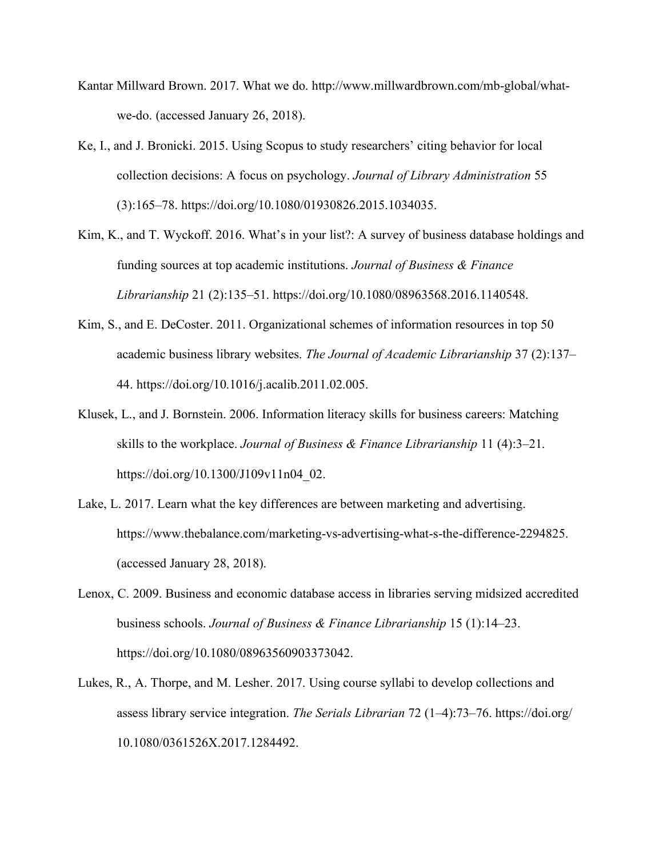- Kantar Millward Brown. 2017. What we do. http://www.millwardbrown.com/mb-global/whatwe-do. (accessed January 26, 2018).
- Ke, I., and J. Bronicki. 2015. Using Scopus to study researchers' citing behavior for local collection decisions: A focus on psychology. *Journal of Library Administration* 55 (3):165–78. https://doi.org/10.1080/01930826.2015.1034035.
- Kim, K., and T. Wyckoff. 2016. What's in your list?: A survey of business database holdings and funding sources at top academic institutions. *Journal of Business & Finance Librarianship* 21 (2):135–51. https://doi.org/10.1080/08963568.2016.1140548.
- Kim, S., and E. DeCoster. 2011. Organizational schemes of information resources in top 50 academic business library websites. *The Journal of Academic Librarianship* 37 (2):137– 44. https://doi.org/10.1016/j.acalib.2011.02.005.
- Klusek, L., and J. Bornstein. 2006. Information literacy skills for business careers: Matching skills to the workplace. *Journal of Business & Finance Librarianship* 11 (4):3–21. https://doi.org/10.1300/J109v11n04\_02.
- Lake, L. 2017. Learn what the key differences are between marketing and advertising. https://www.thebalance.com/marketing-vs-advertising-what-s-the-difference-2294825. (accessed January 28, 2018).
- Lenox, C. 2009. Business and economic database access in libraries serving midsized accredited business schools. *Journal of Business & Finance Librarianship* 15 (1):14–23. https://doi.org/10.1080/08963560903373042.
- Lukes, R., A. Thorpe, and M. Lesher. 2017. Using course syllabi to develop collections and assess library service integration. *The Serials Librarian* 72 (1–4):73–76. https://doi.org/ 10.1080/0361526X.2017.1284492.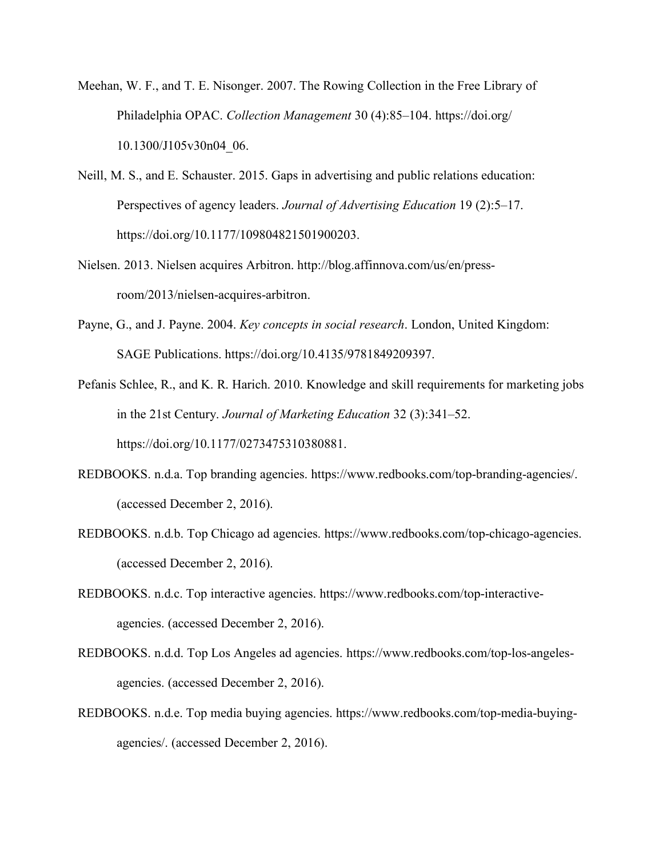- Meehan, W. F., and T. E. Nisonger. 2007. The Rowing Collection in the Free Library of Philadelphia OPAC. *Collection Management* 30 (4):85–104. https://doi.org/ 10.1300/J105v30n04\_06.
- Neill, M. S., and E. Schauster. 2015. Gaps in advertising and public relations education: Perspectives of agency leaders. *Journal of Advertising Education* 19 (2):5–17. https://doi.org/10.1177/109804821501900203.
- Nielsen. 2013. Nielsen acquires Arbitron. http://blog.affinnova.com/us/en/pressroom/2013/nielsen-acquires-arbitron.
- Payne, G., and J. Payne. 2004. *Key concepts in social research*. London, United Kingdom: SAGE Publications. https://doi.org/10.4135/9781849209397.
- Pefanis Schlee, R., and K. R. Harich. 2010. Knowledge and skill requirements for marketing jobs in the 21st Century. *Journal of Marketing Education* 32 (3):341–52. https://doi.org/10.1177/0273475310380881.
- REDBOOKS. n.d.a. Top branding agencies. https://www.redbooks.com/top-branding-agencies/. (accessed December 2, 2016).
- REDBOOKS. n.d.b. Top Chicago ad agencies. https://www.redbooks.com/top-chicago-agencies. (accessed December 2, 2016).
- REDBOOKS. n.d.c. Top interactive agencies. https://www.redbooks.com/top-interactiveagencies. (accessed December 2, 2016).
- REDBOOKS. n.d.d. Top Los Angeles ad agencies. https://www.redbooks.com/top-los-angelesagencies. (accessed December 2, 2016).
- REDBOOKS. n.d.e. Top media buying agencies. https://www.redbooks.com/top-media-buyingagencies/. (accessed December 2, 2016).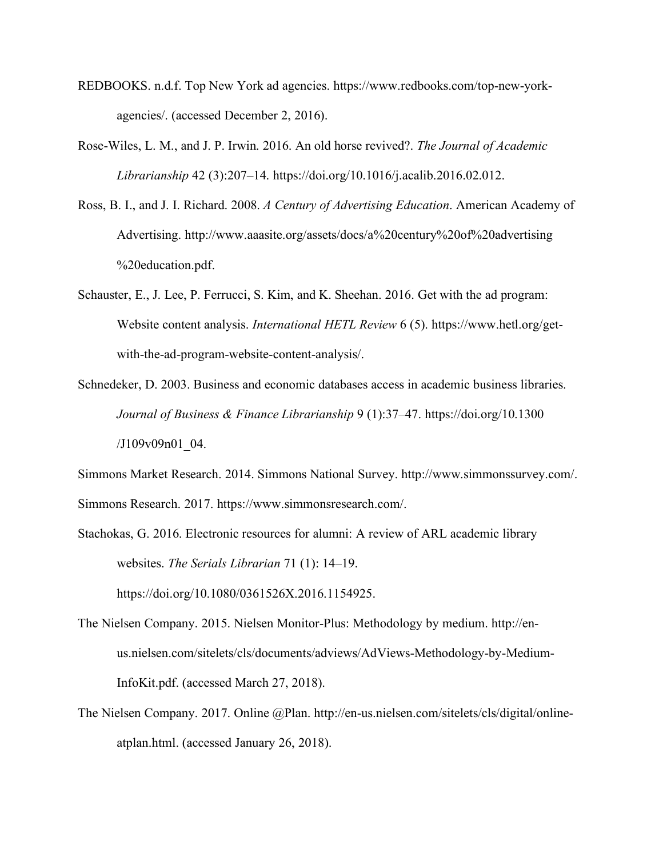- REDBOOKS. n.d.f. Top New York ad agencies. https://www.redbooks.com/top-new-yorkagencies/. (accessed December 2, 2016).
- Rose-Wiles, L. M., and J. P. Irwin. 2016. An old horse revived?. *The Journal of Academic Librarianship* 42 (3):207–14. https://doi.org/10.1016/j.acalib.2016.02.012.
- Ross, B. I., and J. I. Richard. 2008. *A Century of Advertising Education*. American Academy of Advertising. http://www.aaasite.org/assets/docs/a%20century%20of%20advertising %20education.pdf.
- Schauster, E., J. Lee, P. Ferrucci, S. Kim, and K. Sheehan. 2016. Get with the ad program: Website content analysis. *International HETL Review* 6 (5). https://www.hetl.org/getwith-the-ad-program-website-content-analysis/.
- Schnedeker, D. 2003. Business and economic databases access in academic business libraries. *Journal of Business & Finance Librarianship* 9 (1):37–47. https://doi.org/10.1300 /J109v09n01\_04.

Simmons Market Research. 2014. Simmons National Survey. http://www.simmonssurvey.com/. Simmons Research. 2017. https://www.simmonsresearch.com/.

- Stachokas, G. 2016. Electronic resources for alumni: A review of ARL academic library websites. *The Serials Librarian* 71 (1): 14–19. https://doi.org/10.1080/0361526X.2016.1154925.
- The Nielsen Company. 2015. Nielsen Monitor-Plus: Methodology by medium. http://enus.nielsen.com/sitelets/cls/documents/adviews/AdViews-Methodology-by-Medium-InfoKit.pdf. (accessed March 27, 2018).
- The Nielsen Company. 2017. Online @Plan. http://en-us.nielsen.com/sitelets/cls/digital/onlineatplan.html. (accessed January 26, 2018).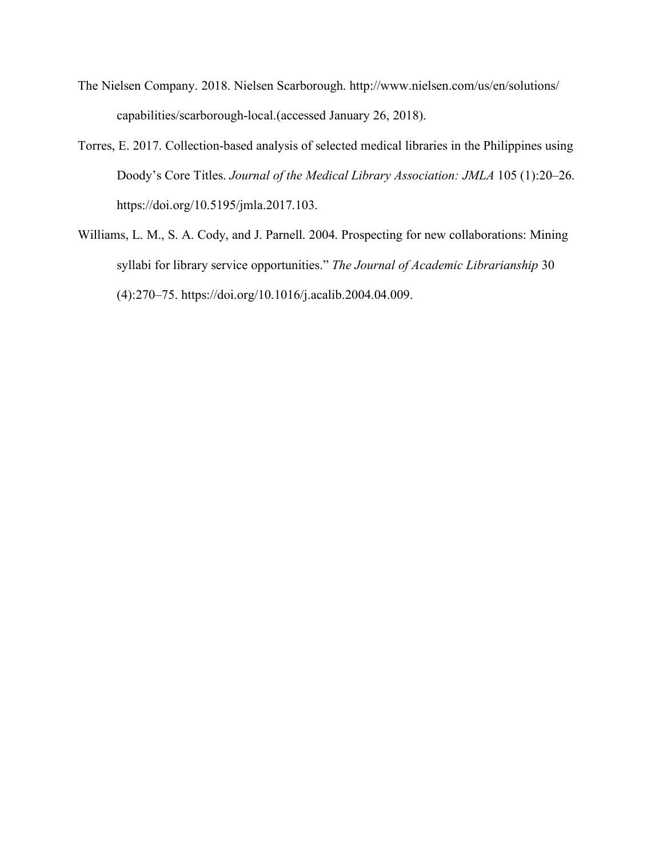- The Nielsen Company. 2018. Nielsen Scarborough. http://www.nielsen.com/us/en/solutions/ capabilities/scarborough-local.(accessed January 26, 2018).
- Torres, E. 2017. Collection-based analysis of selected medical libraries in the Philippines using Doody's Core Titles. *Journal of the Medical Library Association: JMLA* 105 (1):20–26. https://doi.org/10.5195/jmla.2017.103.
- Williams, L. M., S. A. Cody, and J. Parnell. 2004. Prospecting for new collaborations: Mining syllabi for library service opportunities." *The Journal of Academic Librarianship* 30 (4):270–75. https://doi.org/10.1016/j.acalib.2004.04.009.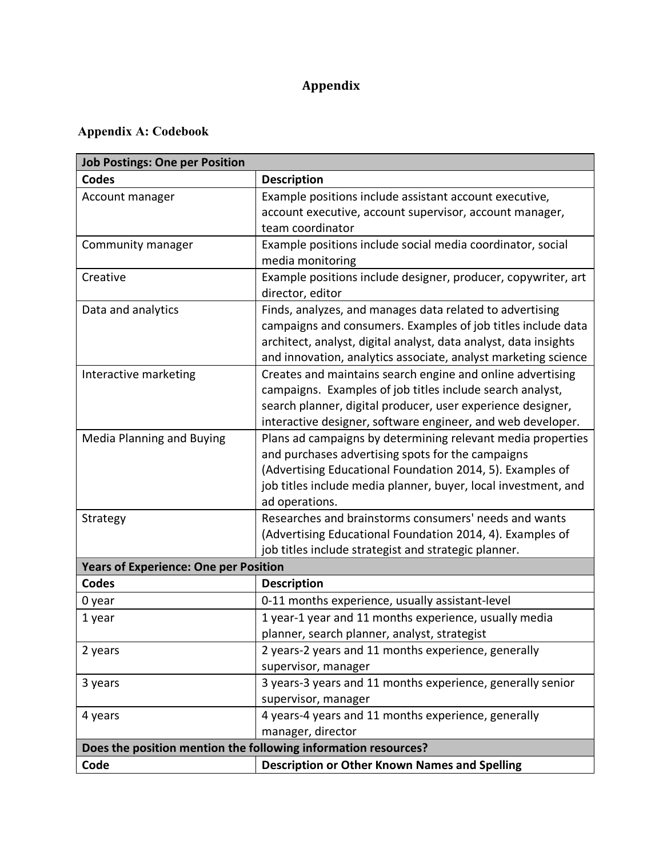# **Appendix**

# **Appendix A: Codebook**

| <b>Job Postings: One per Position</b>        |                                                                                  |  |  |  |  |
|----------------------------------------------|----------------------------------------------------------------------------------|--|--|--|--|
| <b>Codes</b>                                 | <b>Description</b>                                                               |  |  |  |  |
| Account manager                              | Example positions include assistant account executive,                           |  |  |  |  |
|                                              | account executive, account supervisor, account manager,                          |  |  |  |  |
|                                              | team coordinator                                                                 |  |  |  |  |
| Community manager                            | Example positions include social media coordinator, social                       |  |  |  |  |
|                                              | media monitoring                                                                 |  |  |  |  |
| Creative                                     | Example positions include designer, producer, copywriter, art                    |  |  |  |  |
|                                              | director, editor                                                                 |  |  |  |  |
| Data and analytics                           | Finds, analyzes, and manages data related to advertising                         |  |  |  |  |
|                                              | campaigns and consumers. Examples of job titles include data                     |  |  |  |  |
|                                              | architect, analyst, digital analyst, data analyst, data insights                 |  |  |  |  |
|                                              | and innovation, analytics associate, analyst marketing science                   |  |  |  |  |
| Interactive marketing                        | Creates and maintains search engine and online advertising                       |  |  |  |  |
|                                              | campaigns. Examples of job titles include search analyst,                        |  |  |  |  |
|                                              | search planner, digital producer, user experience designer,                      |  |  |  |  |
|                                              | interactive designer, software engineer, and web developer.                      |  |  |  |  |
| <b>Media Planning and Buying</b>             | Plans ad campaigns by determining relevant media properties                      |  |  |  |  |
|                                              | and purchases advertising spots for the campaigns                                |  |  |  |  |
|                                              | (Advertising Educational Foundation 2014, 5). Examples of                        |  |  |  |  |
|                                              | job titles include media planner, buyer, local investment, and<br>ad operations. |  |  |  |  |
| Strategy                                     | Researches and brainstorms consumers' needs and wants                            |  |  |  |  |
|                                              | (Advertising Educational Foundation 2014, 4). Examples of                        |  |  |  |  |
|                                              | job titles include strategist and strategic planner.                             |  |  |  |  |
| <b>Years of Experience: One per Position</b> |                                                                                  |  |  |  |  |
| Codes                                        | <b>Description</b>                                                               |  |  |  |  |
| 0 year                                       | 0-11 months experience, usually assistant-level                                  |  |  |  |  |
| 1 year                                       | 1 year-1 year and 11 months experience, usually media                            |  |  |  |  |
|                                              | planner, search planner, analyst, strategist                                     |  |  |  |  |
| 2 years                                      | 2 years-2 years and 11 months experience, generally                              |  |  |  |  |
|                                              | supervisor, manager                                                              |  |  |  |  |
| 3 years                                      | 3 years-3 years and 11 months experience, generally senior                       |  |  |  |  |
|                                              | supervisor, manager                                                              |  |  |  |  |
| 4 years                                      | 4 years-4 years and 11 months experience, generally                              |  |  |  |  |
|                                              | manager, director                                                                |  |  |  |  |
|                                              | Does the position mention the following information resources?                   |  |  |  |  |
| Code                                         | <b>Description or Other Known Names and Spelling</b>                             |  |  |  |  |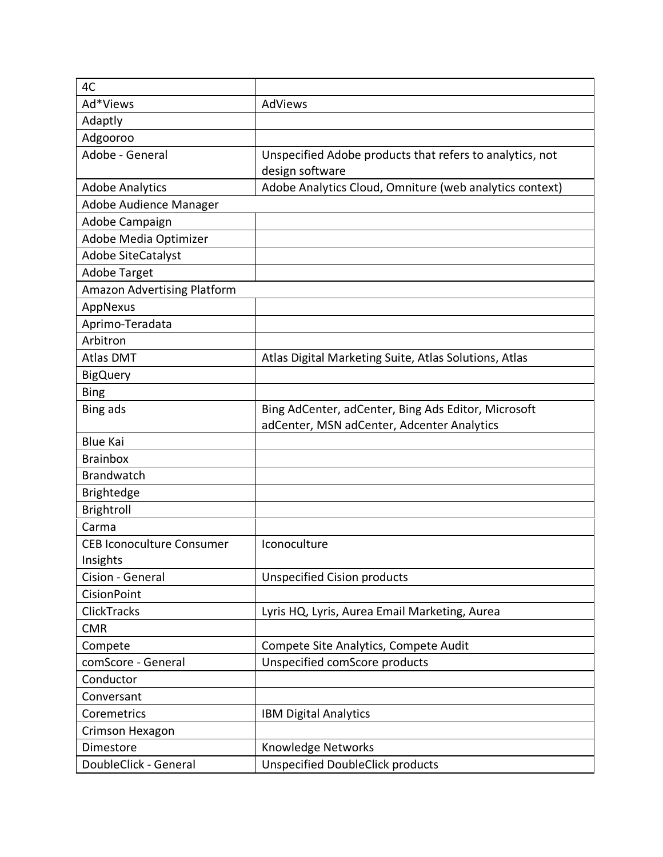| 4C                                 |                                                          |
|------------------------------------|----------------------------------------------------------|
| Ad*Views                           | AdViews                                                  |
| Adaptly                            |                                                          |
| Adgooroo                           |                                                          |
| Adobe - General                    | Unspecified Adobe products that refers to analytics, not |
|                                    | design software                                          |
| <b>Adobe Analytics</b>             | Adobe Analytics Cloud, Omniture (web analytics context)  |
| Adobe Audience Manager             |                                                          |
| Adobe Campaign                     |                                                          |
| Adobe Media Optimizer              |                                                          |
| <b>Adobe SiteCatalyst</b>          |                                                          |
| <b>Adobe Target</b>                |                                                          |
| <b>Amazon Advertising Platform</b> |                                                          |
| AppNexus                           |                                                          |
| Aprimo-Teradata                    |                                                          |
| Arbitron                           |                                                          |
| <b>Atlas DMT</b>                   | Atlas Digital Marketing Suite, Atlas Solutions, Atlas    |
| <b>BigQuery</b>                    |                                                          |
| <b>Bing</b>                        |                                                          |
| Bing ads                           | Bing AdCenter, adCenter, Bing Ads Editor, Microsoft      |
|                                    | adCenter, MSN adCenter, Adcenter Analytics               |
| <b>Blue Kai</b>                    |                                                          |
| <b>Brainbox</b>                    |                                                          |
| <b>Brandwatch</b>                  |                                                          |
| <b>Brightedge</b>                  |                                                          |
| Brightroll                         |                                                          |
| Carma                              |                                                          |
| <b>CEB Iconoculture Consumer</b>   | Iconoculture                                             |
| Insights                           |                                                          |
| Cision - General                   | <b>Unspecified Cision products</b>                       |
| <b>CisionPoint</b>                 |                                                          |
| <b>ClickTracks</b>                 | Lyris HQ, Lyris, Aurea Email Marketing, Aurea            |
| <b>CMR</b>                         |                                                          |
| Compete                            | Compete Site Analytics, Compete Audit                    |
| comScore - General                 | Unspecified comScore products                            |
| Conductor                          |                                                          |
| Conversant                         |                                                          |
| Coremetrics                        | <b>IBM Digital Analytics</b>                             |
| Crimson Hexagon                    |                                                          |
| Dimestore                          | Knowledge Networks                                       |
| DoubleClick - General              | <b>Unspecified DoubleClick products</b>                  |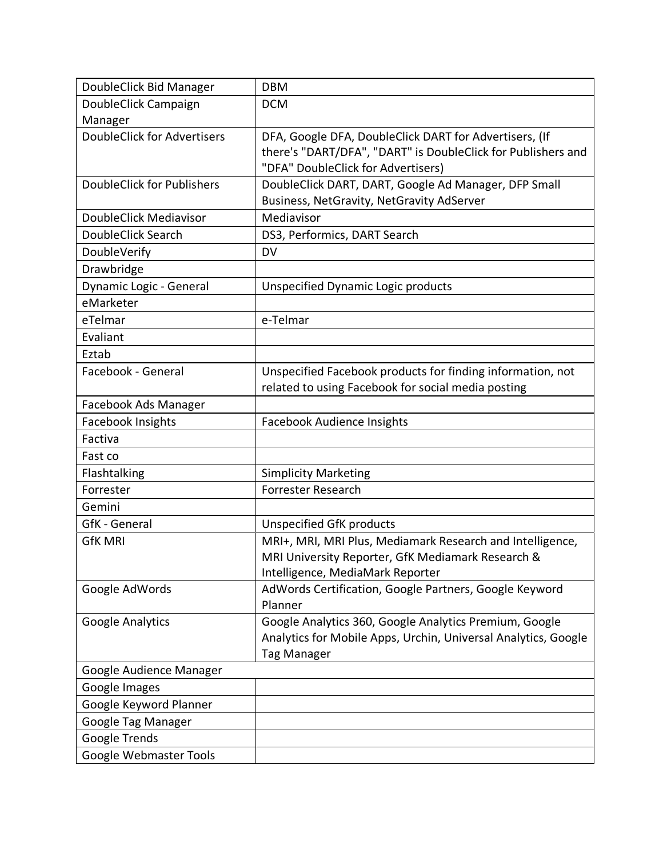| DoubleClick Bid Manager            | <b>DBM</b>                                                     |
|------------------------------------|----------------------------------------------------------------|
| DoubleClick Campaign               | <b>DCM</b>                                                     |
| Manager                            |                                                                |
| <b>DoubleClick for Advertisers</b> | DFA, Google DFA, DoubleClick DART for Advertisers, (If         |
|                                    | there's "DART/DFA", "DART" is DoubleClick for Publishers and   |
|                                    | "DFA" DoubleClick for Advertisers)                             |
| <b>DoubleClick for Publishers</b>  | DoubleClick DART, DART, Google Ad Manager, DFP Small           |
|                                    | Business, NetGravity, NetGravity AdServer                      |
| DoubleClick Mediavisor             | Mediavisor                                                     |
| DoubleClick Search                 | DS3, Performics, DART Search                                   |
| DoubleVerify                       | <b>DV</b>                                                      |
| Drawbridge                         |                                                                |
| Dynamic Logic - General            | <b>Unspecified Dynamic Logic products</b>                      |
| eMarketer                          |                                                                |
| eTelmar                            | e-Telmar                                                       |
| Evaliant                           |                                                                |
| Eztab                              |                                                                |
| Facebook - General                 | Unspecified Facebook products for finding information, not     |
|                                    | related to using Facebook for social media posting             |
| Facebook Ads Manager               |                                                                |
| Facebook Insights                  | <b>Facebook Audience Insights</b>                              |
| Factiva                            |                                                                |
| Fast co                            |                                                                |
| Flashtalking                       | <b>Simplicity Marketing</b>                                    |
| Forrester                          | Forrester Research                                             |
| Gemini                             |                                                                |
| <b>GfK</b> - General               | <b>Unspecified GfK products</b>                                |
| <b>GfK MRI</b>                     | MRI+, MRI, MRI Plus, Mediamark Research and Intelligence,      |
|                                    | MRI University Reporter, GfK Mediamark Research &              |
|                                    | Intelligence, MediaMark Reporter                               |
| Google AdWords                     | AdWords Certification, Google Partners, Google Keyword         |
|                                    | Planner                                                        |
| <b>Google Analytics</b>            | Google Analytics 360, Google Analytics Premium, Google         |
|                                    | Analytics for Mobile Apps, Urchin, Universal Analytics, Google |
|                                    | <b>Tag Manager</b>                                             |
| Google Audience Manager            |                                                                |
| Google Images                      |                                                                |
| Google Keyword Planner             |                                                                |
| Google Tag Manager                 |                                                                |
| Google Trends                      |                                                                |
| Google Webmaster Tools             |                                                                |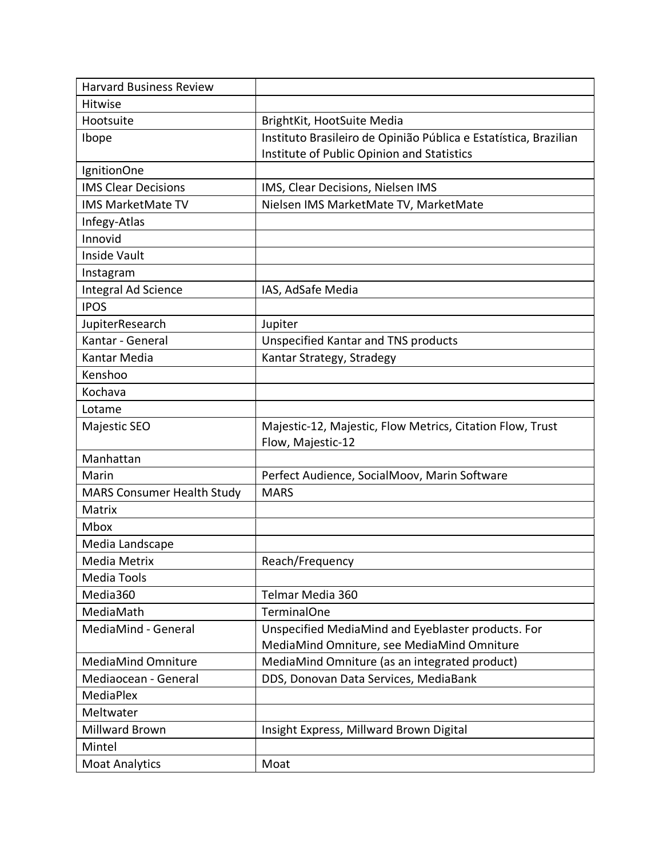| <b>Harvard Business Review</b>    |                                                                                |
|-----------------------------------|--------------------------------------------------------------------------------|
| Hitwise                           |                                                                                |
| Hootsuite                         | BrightKit, HootSuite Media                                                     |
| Ibope                             | Instituto Brasileiro de Opinião Pública e Estatística, Brazilian               |
|                                   | Institute of Public Opinion and Statistics                                     |
| IgnitionOne                       |                                                                                |
| <b>IMS Clear Decisions</b>        | IMS, Clear Decisions, Nielsen IMS                                              |
| <b>IMS MarketMate TV</b>          | Nielsen IMS MarketMate TV, MarketMate                                          |
| Infegy-Atlas                      |                                                                                |
| Innovid                           |                                                                                |
| Inside Vault                      |                                                                                |
| Instagram                         |                                                                                |
| Integral Ad Science               | IAS, AdSafe Media                                                              |
| <b>IPOS</b>                       |                                                                                |
| JupiterResearch                   | Jupiter                                                                        |
| Kantar - General                  | <b>Unspecified Kantar and TNS products</b>                                     |
| Kantar Media                      | Kantar Strategy, Stradegy                                                      |
| Kenshoo                           |                                                                                |
| Kochava                           |                                                                                |
| Lotame                            |                                                                                |
| Majestic SEO                      | Majestic-12, Majestic, Flow Metrics, Citation Flow, Trust<br>Flow, Majestic-12 |
| Manhattan                         |                                                                                |
| Marin                             | Perfect Audience, SocialMoov, Marin Software                                   |
| <b>MARS Consumer Health Study</b> | <b>MARS</b>                                                                    |
| Matrix                            |                                                                                |
| Mbox                              |                                                                                |
| Media Landscape                   |                                                                                |
| Media Metrix                      | Reach/Frequency                                                                |
| Media Tools                       |                                                                                |
| Media360                          | Telmar Media 360                                                               |
| MediaMath                         | <b>TerminalOne</b>                                                             |
| MediaMind - General               | Unspecified MediaMind and Eyeblaster products. For                             |
|                                   | MediaMind Omniture, see MediaMind Omniture                                     |
| <b>MediaMind Omniture</b>         | MediaMind Omniture (as an integrated product)                                  |
| Mediaocean - General              | DDS, Donovan Data Services, MediaBank                                          |
| MediaPlex                         |                                                                                |
| Meltwater                         |                                                                                |
| Millward Brown                    | Insight Express, Millward Brown Digital                                        |
| Mintel                            |                                                                                |
| <b>Moat Analytics</b>             | Moat                                                                           |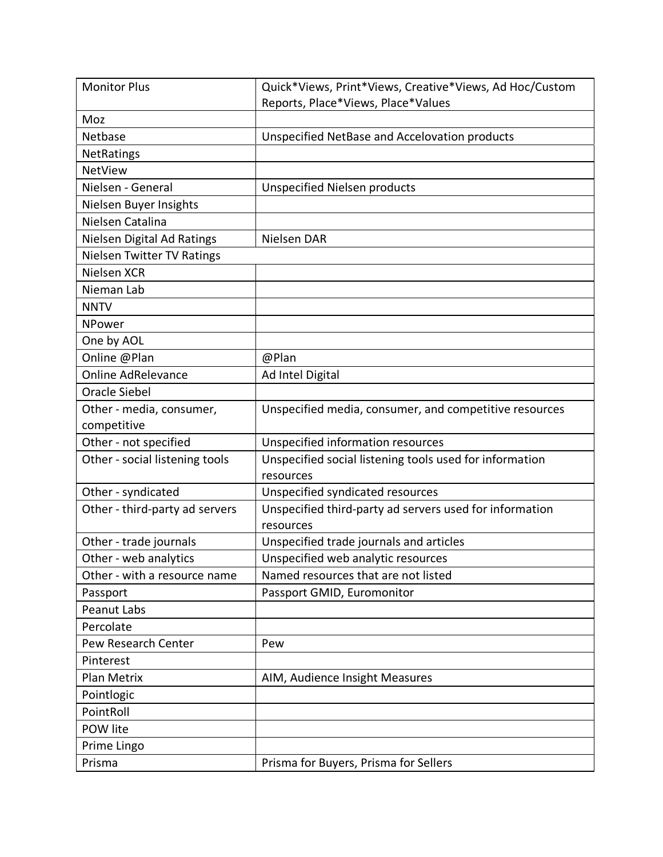| <b>Monitor Plus</b>               | Quick*Views, Print*Views, Creative*Views, Ad Hoc/Custom |
|-----------------------------------|---------------------------------------------------------|
|                                   | Reports, Place*Views, Place*Values                      |
| Moz                               |                                                         |
| Netbase                           | Unspecified NetBase and Accelovation products           |
| <b>NetRatings</b>                 |                                                         |
| <b>NetView</b>                    |                                                         |
| Nielsen - General                 | <b>Unspecified Nielsen products</b>                     |
| Nielsen Buyer Insights            |                                                         |
| Nielsen Catalina                  |                                                         |
| Nielsen Digital Ad Ratings        | Nielsen DAR                                             |
| <b>Nielsen Twitter TV Ratings</b> |                                                         |
| Nielsen XCR                       |                                                         |
| Nieman Lab                        |                                                         |
| <b>NNTV</b>                       |                                                         |
| NPower                            |                                                         |
| One by AOL                        |                                                         |
| Online @Plan                      | @Plan                                                   |
| <b>Online AdRelevance</b>         | Ad Intel Digital                                        |
| <b>Oracle Siebel</b>              |                                                         |
| Other - media, consumer,          | Unspecified media, consumer, and competitive resources  |
| competitive                       |                                                         |
| Other - not specified             | Unspecified information resources                       |
| Other - social listening tools    | Unspecified social listening tools used for information |
|                                   | resources                                               |
| Other - syndicated                | Unspecified syndicated resources                        |
| Other - third-party ad servers    | Unspecified third-party ad servers used for information |
|                                   | resources                                               |
| Other - trade journals            | Unspecified trade journals and articles                 |
| Other - web analytics             | Unspecified web analytic resources                      |
| Other - with a resource name      | Named resources that are not listed                     |
| Passport                          | Passport GMID, Euromonitor                              |
| Peanut Labs                       |                                                         |
| Percolate                         |                                                         |
| Pew Research Center               | Pew                                                     |
| Pinterest                         |                                                         |
| Plan Metrix                       | AIM, Audience Insight Measures                          |
| Pointlogic                        |                                                         |
| PointRoll                         |                                                         |
| POW lite                          |                                                         |
| Prime Lingo                       |                                                         |
| Prisma                            | Prisma for Buyers, Prisma for Sellers                   |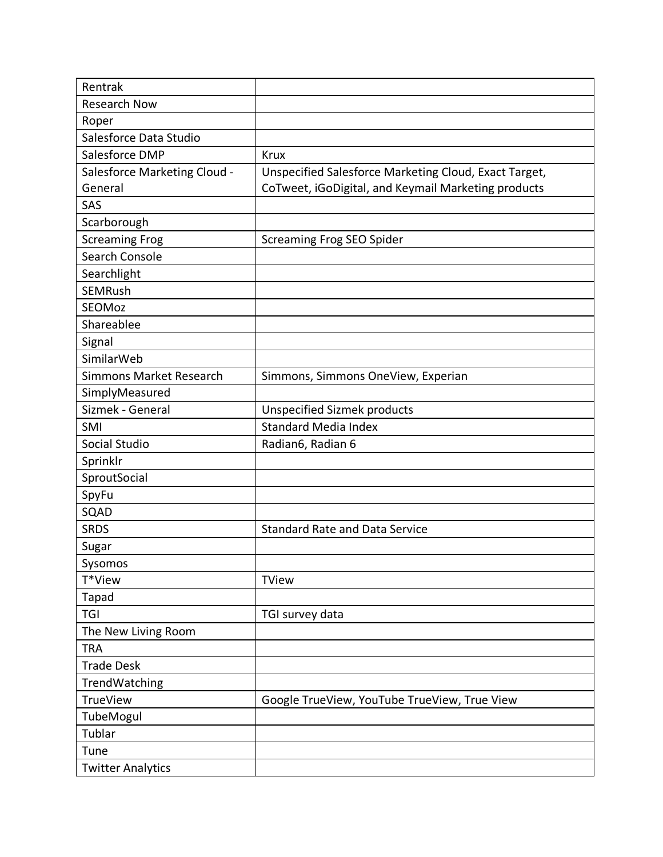| Rentrak                      |                                                       |
|------------------------------|-------------------------------------------------------|
| <b>Research Now</b>          |                                                       |
| Roper                        |                                                       |
| Salesforce Data Studio       |                                                       |
| Salesforce DMP               | <b>Krux</b>                                           |
| Salesforce Marketing Cloud - | Unspecified Salesforce Marketing Cloud, Exact Target, |
| General                      | CoTweet, iGoDigital, and Keymail Marketing products   |
| SAS                          |                                                       |
| Scarborough                  |                                                       |
| <b>Screaming Frog</b>        | <b>Screaming Frog SEO Spider</b>                      |
| Search Console               |                                                       |
| Searchlight                  |                                                       |
| <b>SEMRush</b>               |                                                       |
| SEOMoz                       |                                                       |
| Shareablee                   |                                                       |
| Signal                       |                                                       |
| SimilarWeb                   |                                                       |
| Simmons Market Research      | Simmons, Simmons OneView, Experian                    |
| SimplyMeasured               |                                                       |
| Sizmek - General             | <b>Unspecified Sizmek products</b>                    |
| SMI                          | <b>Standard Media Index</b>                           |
| Social Studio                | Radian6, Radian 6                                     |
| Sprinklr                     |                                                       |
| SproutSocial                 |                                                       |
| SpyFu                        |                                                       |
| SQAD                         |                                                       |
| <b>SRDS</b>                  | <b>Standard Rate and Data Service</b>                 |
| Sugar                        |                                                       |
| Sysomos                      |                                                       |
| T*View                       | <b>TView</b>                                          |
| Tapad                        |                                                       |
| <b>TGI</b>                   | TGI survey data                                       |
| The New Living Room          |                                                       |
| <b>TRA</b>                   |                                                       |
| <b>Trade Desk</b>            |                                                       |
| TrendWatching                |                                                       |
| <b>TrueView</b>              | Google TrueView, YouTube TrueView, True View          |
| TubeMogul                    |                                                       |
| Tublar                       |                                                       |
| Tune                         |                                                       |
| <b>Twitter Analytics</b>     |                                                       |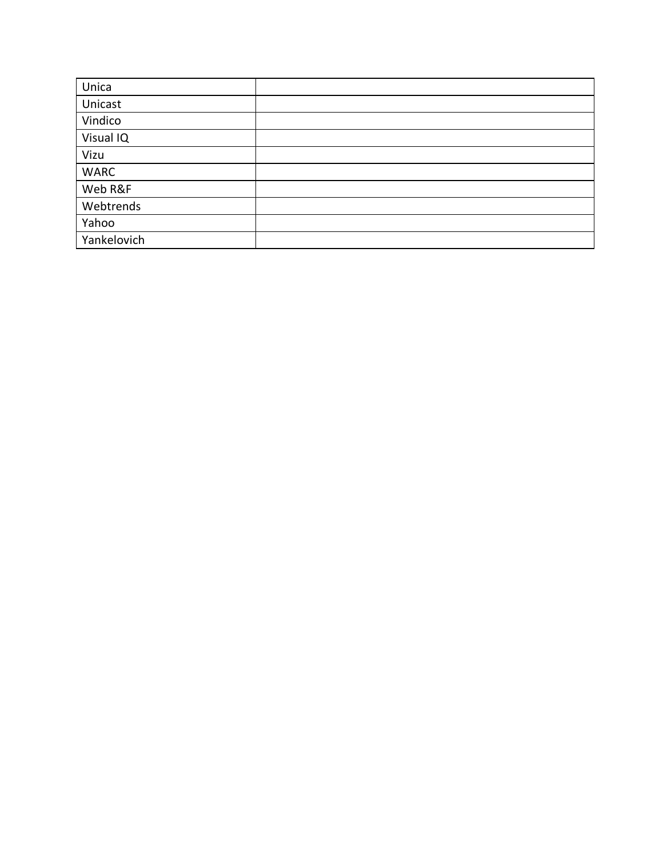| Unica       |  |
|-------------|--|
| Unicast     |  |
| Vindico     |  |
| Visual IQ   |  |
| Vizu        |  |
| <b>WARC</b> |  |
| Web R&F     |  |
| Webtrends   |  |
| Yahoo       |  |
| Yankelovich |  |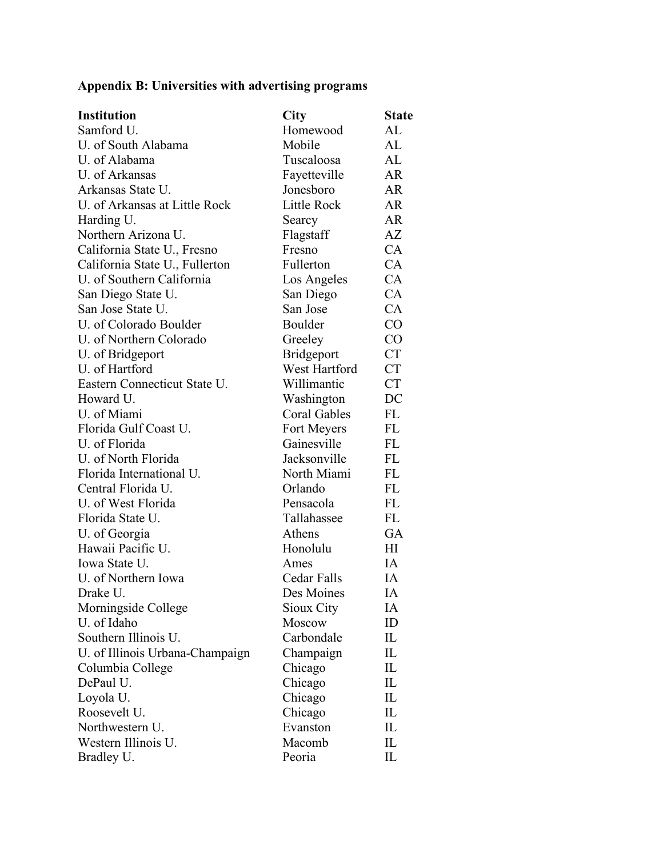# **Appendix B: Universities with advertising programs**

| Samford U.<br>Homewood                                                     | AL<br>AL  |
|----------------------------------------------------------------------------|-----------|
|                                                                            |           |
| U. of South Alabama<br>Mobile                                              |           |
| U. of Alabama<br>Tuscaloosa                                                | AL        |
| U. of Arkansas<br>Fayetteville                                             | AR        |
| Jonesboro<br>Arkansas State U.                                             | AR        |
| U. of Arkansas at Little Rock<br>Little Rock                               | AR        |
| Harding U.<br>Searcy                                                       | <b>AR</b> |
| Northern Arizona U.<br>Flagstaff                                           | AZ        |
| California State U., Fresno<br>Fresno                                      | CA        |
| Fullerton<br>California State U., Fullerton                                | CA        |
| U. of Southern California<br>Los Angeles                                   | CA        |
| San Diego State U.<br>San Diego                                            | CA        |
| San Jose State U.<br>San Jose                                              | CA        |
| U. of Colorado Boulder<br>Boulder                                          | CO        |
| U. of Northern Colorado<br>Greeley                                         | $\rm CO$  |
| Bridgeport<br>U. of Bridgeport                                             | <b>CT</b> |
| U. of Hartford<br>West Hartford                                            | <b>CT</b> |
| Eastern Connecticut State U.<br>Willimantic                                | <b>CT</b> |
| Howard U.<br>Washington                                                    | DC        |
| U. of Miami<br><b>Coral Gables</b><br>FL                                   |           |
| Florida Gulf Coast U.<br>FL<br>Fort Meyers                                 |           |
| U. of Florida<br>Gainesville<br>FL                                         |           |
| U. of North Florida<br>Jacksonville<br>FL                                  |           |
| Florida International U.<br>North Miami<br>FL                              |           |
| Central Florida U.<br>Orlando<br>FL                                        |           |
| U. of West Florida<br>FL<br>Pensacola                                      |           |
| FL<br>Florida State U.<br>Tallahassee                                      |           |
| U. of Georgia<br>Athens                                                    | <b>GA</b> |
| Hawaii Pacific U.<br>Honolulu<br>H                                         |           |
| Iowa State U.<br>IA<br>Ames                                                |           |
| Cedar Falls<br>U. of Northern Iowa<br>IA                                   |           |
| Drake U.<br>Des Moines<br>IA                                               |           |
| Morningside College<br>Sioux City<br>IA                                    |           |
| U. of Idaho<br>ID<br>Moscow                                                |           |
| Southern Illinois U.<br>Carbondale<br>IL                                   |           |
| U. of Illinois Urbana-Champaign<br>$\mathop{\rm IL}\nolimits$<br>Champaign |           |
| $\mathop{\rm IL}\nolimits$<br>Columbia College<br>Chicago                  |           |
| Chicago<br>DePaul U.<br>IL                                                 |           |
| Chicago<br>IL<br>Loyola U.                                                 |           |
| Roosevelt U.<br>Chicago<br>IL                                              |           |
| Northwestern U.<br>Evanston<br>IL                                          |           |
| Western Illinois U.<br>Macomb<br>IL                                        |           |
| Peoria<br>Bradley U.<br>IL                                                 |           |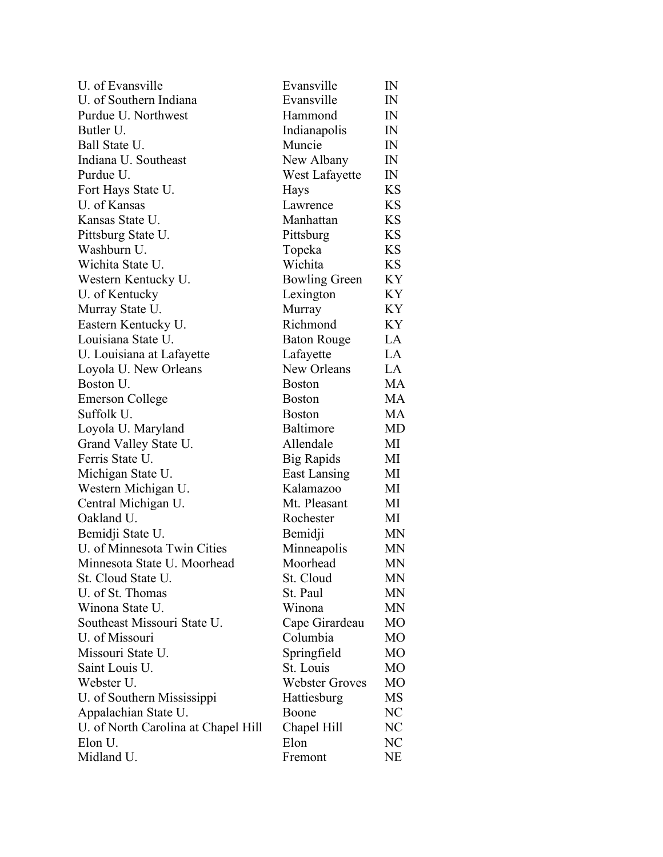| U. of Evansville                    | Evansville            | IN             |
|-------------------------------------|-----------------------|----------------|
| U. of Southern Indiana              | Evansville            | IN             |
| Purdue U. Northwest                 | Hammond               | IN             |
| Butler U.                           | Indianapolis          | IN             |
| Ball State U.                       | Muncie                | IN             |
| Indiana U. Southeast                | New Albany            | IN             |
| Purdue U.                           | West Lafayette        | IN             |
| Fort Hays State U.                  | Hays                  | <b>KS</b>      |
| U. of Kansas                        | Lawrence              | KS             |
| Kansas State U.                     | Manhattan             | <b>KS</b>      |
| Pittsburg State U.                  | Pittsburg             | KS.            |
| Washburn U.                         | Topeka                | <b>KS</b>      |
| Wichita State U.                    | Wichita               | <b>KS</b>      |
| Western Kentucky U.                 | <b>Bowling Green</b>  | KY             |
| U. of Kentucky                      | Lexington             | KY             |
| Murray State U.                     | Murray                | KY             |
| Eastern Kentucky U.                 | Richmond              | KY             |
| Louisiana State U.                  | <b>Baton Rouge</b>    | LA             |
| U. Louisiana at Lafayette           | Lafayette             | LA             |
| Loyola U. New Orleans               | New Orleans           | LA             |
| Boston U.                           | <b>Boston</b>         | MA             |
| <b>Emerson College</b>              | <b>Boston</b>         | MA             |
| Suffolk U.                          | <b>Boston</b>         | MA             |
| Loyola U. Maryland                  | <b>Baltimore</b>      | MD             |
| Grand Valley State U.               | Allendale             | МI             |
| Ferris State U.                     | Big Rapids            | МI             |
| Michigan State U.                   | East Lansing          | МI             |
| Western Michigan U.                 | Kalamazoo             | МI             |
| Central Michigan U.                 | Mt. Pleasant          | МI             |
| Oakland U.                          | Rochester             | МI             |
| Bemidji State U.                    | Bemidji               | <b>MN</b>      |
| U. of Minnesota Twin Cities         | Minneapolis           | MN             |
| Minnesota State U. Moorhead         | Moorhead              | MN             |
| St. Cloud State U.                  | St. Cloud             | MN             |
| U. of St. Thomas                    | St. Paul              | <b>MN</b>      |
| Winona State U.                     | Winona                | MN             |
| Southeast Missouri State U.         | Cape Girardeau        | M <sub>O</sub> |
| U. of Missouri                      | Columbia              | M <sub>O</sub> |
| Missouri State U.                   | Springfield           | M <sub>O</sub> |
| Saint Louis U.                      | St. Louis             | MO             |
| Webster U.                          | <b>Webster Groves</b> | M <sub>O</sub> |
| U. of Southern Mississippi          | Hattiesburg           | MS             |
| Appalachian State U.                | Boone                 | NC             |
| U. of North Carolina at Chapel Hill | Chapel Hill           | NC             |
| Elon U.                             | Elon                  | NC             |
| Midland U.                          | Fremont               | NE             |
|                                     |                       |                |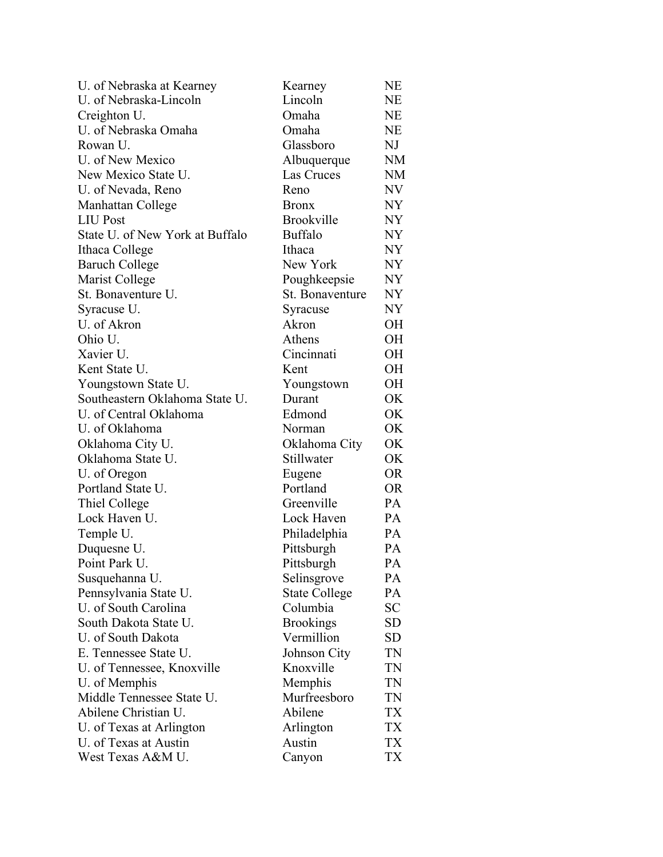| U. of Nebraska at Kearney       | Kearney              | <b>NE</b> |
|---------------------------------|----------------------|-----------|
| U. of Nebraska-Lincoln          | Lincoln              | NE        |
| Creighton U.                    | Omaha                | NE        |
| U. of Nebraska Omaha            | Omaha                | NE        |
| Rowan U.                        | Glassboro            | NJ        |
| U. of New Mexico                | Albuquerque          | <b>NM</b> |
| New Mexico State U.             | Las Cruces           | <b>NM</b> |
| U. of Nevada, Reno              | Reno                 | NV        |
| Manhattan College               | <b>Bronx</b>         | NY        |
| <b>LIU Post</b>                 | <b>Brookville</b>    | NY        |
| State U. of New York at Buffalo | <b>Buffalo</b>       | NY        |
| Ithaca College                  | Ithaca               | NY        |
| <b>Baruch College</b>           | New York             | NY        |
| Marist College                  | Poughkeepsie         | NY        |
| St. Bonaventure U.              | St. Bonaventure      | NY        |
| Syracuse U.                     | Syracuse             | NY        |
| U. of Akron                     | Akron                | OН        |
| Ohio U.                         | Athens               | OН        |
| Xavier U.                       | Cincinnati           | OН        |
| Kent State U.                   | Kent                 | OН        |
| Youngstown State U.             | Youngstown           | OН        |
| Southeastern Oklahoma State U.  | Durant               | OK        |
| U. of Central Oklahoma          | Edmond               | OK        |
| U. of Oklahoma                  | Norman               | OK        |
| Oklahoma City U.                | Oklahoma City        | OK        |
| Oklahoma State U.               | Stillwater           | OK        |
| U. of Oregon                    | Eugene               | OR        |
| Portland State U.               | Portland             | OR        |
| Thiel College                   | Greenville           | PA        |
| Lock Haven U.                   | Lock Haven           | PA        |
| Temple U.                       | Philadelphia         | PA        |
| Duquesne U.                     | Pittsburgh           | PA        |
| Point Park U.                   | Pittsburgh           | PA        |
| Susquehanna U.                  | Selinsgrove          | PA        |
| Pennsylvania State U.           | <b>State College</b> | PA        |
| U. of South Carolina            | Columbia             | <b>SC</b> |
| South Dakota State U.           | <b>Brookings</b>     | SD        |
| U. of South Dakota              | Vermillion           | SD        |
| E. Tennessee State U.           | Johnson City         | TN        |
| U. of Tennessee, Knoxville      | Knoxville            | TN        |
| U. of Memphis                   | Memphis              | TN        |
| Middle Tennessee State U.       | Murfreesboro         | TN        |
| Abilene Christian U.            | Abilene              | TX        |
| U. of Texas at Arlington        | Arlington            | TX        |
| U. of Texas at Austin           | Austin               | TX        |
| West Texas A&M U.               | Canyon               | TX        |
|                                 |                      |           |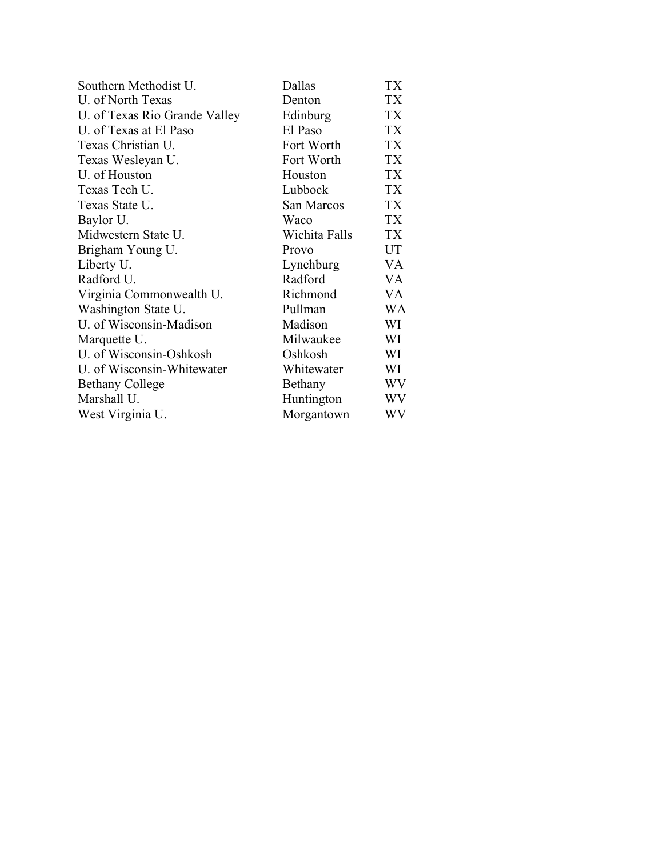| Southern Methodist U.         | Dallas        | TX |
|-------------------------------|---------------|----|
| U. of North Texas             | Denton        | TX |
| U. of Texas Rio Grande Valley | Edinburg      | TX |
| U. of Texas at El Paso        | El Paso       | TX |
| Texas Christian U.            | Fort Worth    | TX |
| Texas Wesleyan U.             | Fort Worth    | TX |
| U. of Houston                 | Houston       | TX |
| Texas Tech U.                 | Lubbock       | TX |
| Texas State U.                | San Marcos    | TX |
| Baylor U.                     | Waco          | TX |
| Midwestern State U.           | Wichita Falls | TX |
| Brigham Young U.              | Provo         | UT |
| Liberty U.                    | Lynchburg     | VA |
| Radford U.                    | Radford       | VA |
| Virginia Commonwealth U.      | Richmond      | VA |
| Washington State U.           | Pullman       | WA |
| U. of Wisconsin-Madison       | Madison       | WI |
| Marquette U.                  | Milwaukee     | WI |
| U. of Wisconsin-Oshkosh       | Oshkosh       | WI |
| U. of Wisconsin-Whitewater    | Whitewater    | WI |
| <b>Bethany College</b>        | Bethany       | WV |
| Marshall U.                   | Huntington    | WV |
| West Virginia U.              | Morgantown    | WV |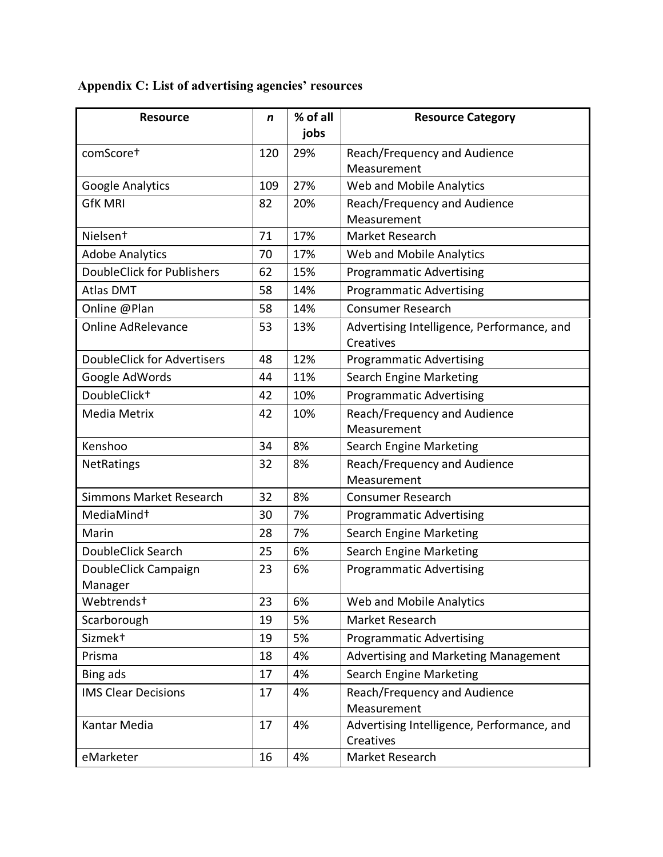| <b>Resource</b>                    | n   | % of all<br>jobs | <b>Resource Category</b>                   |
|------------------------------------|-----|------------------|--------------------------------------------|
| comScoret                          | 120 | 29%              | Reach/Frequency and Audience               |
|                                    |     |                  | Measurement                                |
| Google Analytics                   | 109 | 27%              | Web and Mobile Analytics                   |
| <b>GfK MRI</b>                     | 82  | 20%              | Reach/Frequency and Audience               |
|                                    |     |                  | Measurement                                |
| Nielsen <sup>+</sup>               | 71  | 17%              | Market Research                            |
| <b>Adobe Analytics</b>             | 70  | 17%              | Web and Mobile Analytics                   |
| <b>DoubleClick for Publishers</b>  | 62  | 15%              | <b>Programmatic Advertising</b>            |
| <b>Atlas DMT</b>                   | 58  | 14%              | <b>Programmatic Advertising</b>            |
| Online @Plan                       | 58  | 14%              | <b>Consumer Research</b>                   |
| Online AdRelevance                 | 53  | 13%              | Advertising Intelligence, Performance, and |
|                                    |     |                  | Creatives                                  |
| <b>DoubleClick for Advertisers</b> | 48  | 12%              | <b>Programmatic Advertising</b>            |
| Google AdWords                     | 44  | 11%              | <b>Search Engine Marketing</b>             |
| DoubleClick <sup>+</sup>           | 42  | 10%              | <b>Programmatic Advertising</b>            |
| Media Metrix                       | 42  | 10%              | Reach/Frequency and Audience               |
|                                    |     |                  | Measurement                                |
| Kenshoo                            | 34  | 8%               | <b>Search Engine Marketing</b>             |
| <b>NetRatings</b>                  | 32  | 8%               | Reach/Frequency and Audience               |
|                                    |     |                  | Measurement                                |
| <b>Simmons Market Research</b>     | 32  | 8%               | <b>Consumer Research</b>                   |
| MediaMind <sup>+</sup>             | 30  | 7%               | <b>Programmatic Advertising</b>            |
| Marin                              | 28  | 7%               | <b>Search Engine Marketing</b>             |
| DoubleClick Search                 | 25  | 6%               | <b>Search Engine Marketing</b>             |
| DoubleClick Campaign               | 23  | 6%               | <b>Programmatic Advertising</b>            |
| Manager                            |     |                  |                                            |
| Webtrends <sup>+</sup>             | 23  | 6%               | Web and Mobile Analytics                   |
| Scarborough                        | 19  | 5%               | Market Research                            |
| Sizmek <sup>+</sup>                | 19  | 5%               | <b>Programmatic Advertising</b>            |
| Prisma                             | 18  | 4%               | Advertising and Marketing Management       |
| Bing ads                           | 17  | 4%               | <b>Search Engine Marketing</b>             |
| <b>IMS Clear Decisions</b>         | 17  | 4%               | Reach/Frequency and Audience               |
|                                    |     |                  | Measurement                                |
| Kantar Media                       | 17  | 4%               | Advertising Intelligence, Performance, and |
|                                    |     |                  | Creatives                                  |
| eMarketer                          | 16  | 4%               | Market Research                            |

# **Appendix C: List of advertising agencies' resources**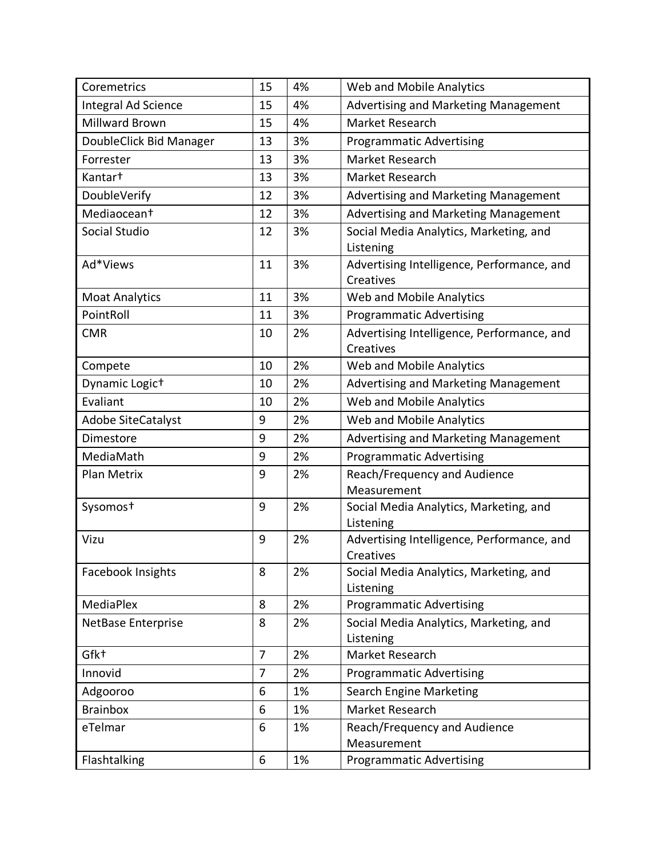| Coremetrics                | 15             | 4% | Web and Mobile Analytics                                |
|----------------------------|----------------|----|---------------------------------------------------------|
| Integral Ad Science        | 15             | 4% | Advertising and Marketing Management                    |
| <b>Millward Brown</b>      | 15             | 4% | Market Research                                         |
| DoubleClick Bid Manager    | 13             | 3% | <b>Programmatic Advertising</b>                         |
| Forrester                  | 13             | 3% | Market Research                                         |
| Kantar <sup>+</sup>        | 13             | 3% | Market Research                                         |
| DoubleVerify               | 12             | 3% | Advertising and Marketing Management                    |
| Mediaocean <sup>+</sup>    | 12             | 3% | Advertising and Marketing Management                    |
| Social Studio              | 12             | 3% | Social Media Analytics, Marketing, and<br>Listening     |
| Ad*Views                   | 11             | 3% | Advertising Intelligence, Performance, and<br>Creatives |
| <b>Moat Analytics</b>      | 11             | 3% | Web and Mobile Analytics                                |
| PointRoll                  | 11             | 3% | <b>Programmatic Advertising</b>                         |
| <b>CMR</b>                 | 10             | 2% | Advertising Intelligence, Performance, and<br>Creatives |
| Compete                    | 10             | 2% | Web and Mobile Analytics                                |
| Dynamic Logic <sup>+</sup> | 10             | 2% | Advertising and Marketing Management                    |
| Evaliant                   | 10             | 2% | Web and Mobile Analytics                                |
| <b>Adobe SiteCatalyst</b>  | 9              | 2% | Web and Mobile Analytics                                |
| Dimestore                  | 9              | 2% | Advertising and Marketing Management                    |
| MediaMath                  | 9              | 2% | <b>Programmatic Advertising</b>                         |
| Plan Metrix                | 9              | 2% | Reach/Frequency and Audience<br>Measurement             |
| Sysomos <sup>+</sup>       | 9              | 2% | Social Media Analytics, Marketing, and<br>Listening     |
| Vizu                       | 9              | 2% | Advertising Intelligence, Performance, and<br>Creatives |
| Facebook Insights          | 8              | 2% | Social Media Analytics, Marketing, and<br>Listening     |
| <b>MediaPlex</b>           | 8              | 2% | <b>Programmatic Advertising</b>                         |
| NetBase Enterprise         | 8              | 2% | Social Media Analytics, Marketing, and<br>Listening     |
| Gfk+                       | $\overline{7}$ | 2% | Market Research                                         |
| Innovid                    | $\overline{7}$ | 2% | <b>Programmatic Advertising</b>                         |
| Adgooroo                   | 6              | 1% | Search Engine Marketing                                 |
| <b>Brainbox</b>            | 6              | 1% | Market Research                                         |
| eTelmar                    | 6              | 1% | Reach/Frequency and Audience                            |
|                            |                |    | Measurement                                             |
| Flashtalking               | 6              | 1% | <b>Programmatic Advertising</b>                         |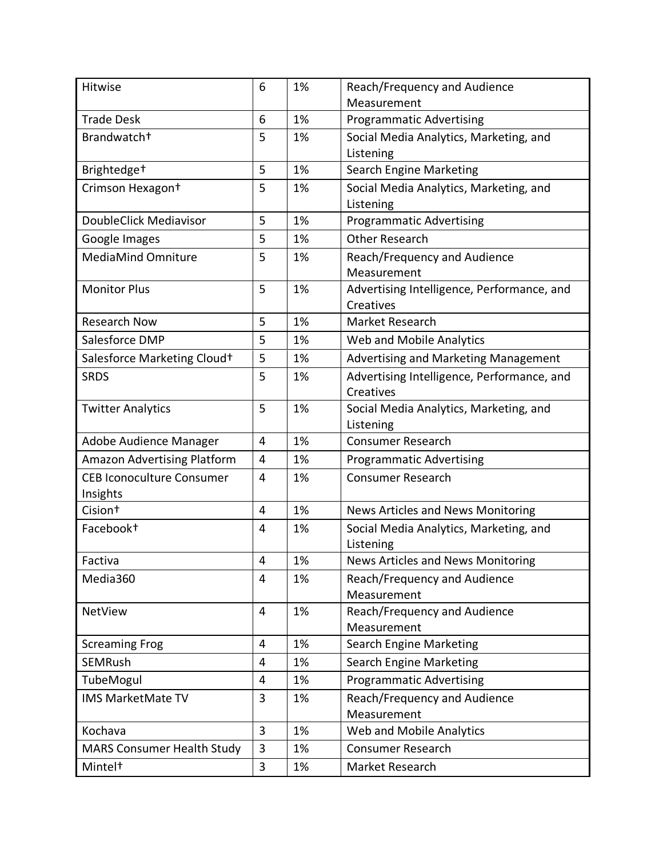| Hitwise                                      | 6              | 1% | Reach/Frequency and Audience                            |
|----------------------------------------------|----------------|----|---------------------------------------------------------|
|                                              |                |    | Measurement                                             |
| <b>Trade Desk</b>                            | 6              | 1% | <b>Programmatic Advertising</b>                         |
| Brandwatch <sup>+</sup>                      | 5              | 1% | Social Media Analytics, Marketing, and<br>Listening     |
| Brightedge <sup>+</sup>                      | 5              | 1% | <b>Search Engine Marketing</b>                          |
| Crimson Hexagon <sup>+</sup>                 | 5              | 1% | Social Media Analytics, Marketing, and<br>Listening     |
| DoubleClick Mediavisor                       | 5              | 1% | <b>Programmatic Advertising</b>                         |
| Google Images                                | 5              | 1% | <b>Other Research</b>                                   |
| MediaMind Omniture                           | 5              | 1% | Reach/Frequency and Audience<br>Measurement             |
| <b>Monitor Plus</b>                          | 5              | 1% | Advertising Intelligence, Performance, and<br>Creatives |
| <b>Research Now</b>                          | 5              | 1% | Market Research                                         |
| Salesforce DMP                               | 5              | 1% | Web and Mobile Analytics                                |
| Salesforce Marketing Cloud+                  | 5              | 1% | Advertising and Marketing Management                    |
| <b>SRDS</b>                                  | 5              | 1% | Advertising Intelligence, Performance, and<br>Creatives |
| <b>Twitter Analytics</b>                     | 5              | 1% | Social Media Analytics, Marketing, and<br>Listening     |
| Adobe Audience Manager                       | $\overline{4}$ | 1% | <b>Consumer Research</b>                                |
| Amazon Advertising Platform                  | $\overline{4}$ | 1% | <b>Programmatic Advertising</b>                         |
| <b>CEB Iconoculture Consumer</b><br>Insights | $\overline{4}$ | 1% | <b>Consumer Research</b>                                |
| Cision <sup>+</sup>                          | $\overline{4}$ | 1% | News Articles and News Monitoring                       |
| Facebook <sup>+</sup>                        | 4              | 1% | Social Media Analytics, Marketing, and<br>Listening     |
| Factiva                                      | 4              | 1% | News Articles and News Monitoring                       |
| Media360                                     | 4              | 1% | Reach/Frequency and Audience<br>Measurement             |
| NetView                                      | 4              | 1% | Reach/Frequency and Audience<br>Measurement             |
| <b>Screaming Frog</b>                        | 4              | 1% | <b>Search Engine Marketing</b>                          |
| <b>SEMRush</b>                               | 4              | 1% | <b>Search Engine Marketing</b>                          |
| TubeMogul                                    | 4              | 1% | <b>Programmatic Advertising</b>                         |
| IMS MarketMate TV                            | 3              | 1% | Reach/Frequency and Audience<br>Measurement             |
| Kochava                                      | $\overline{3}$ | 1% | Web and Mobile Analytics                                |
| <b>MARS Consumer Health Study</b>            | 3              | 1% | <b>Consumer Research</b>                                |
| Mintel <sup>+</sup>                          | 3              | 1% | Market Research                                         |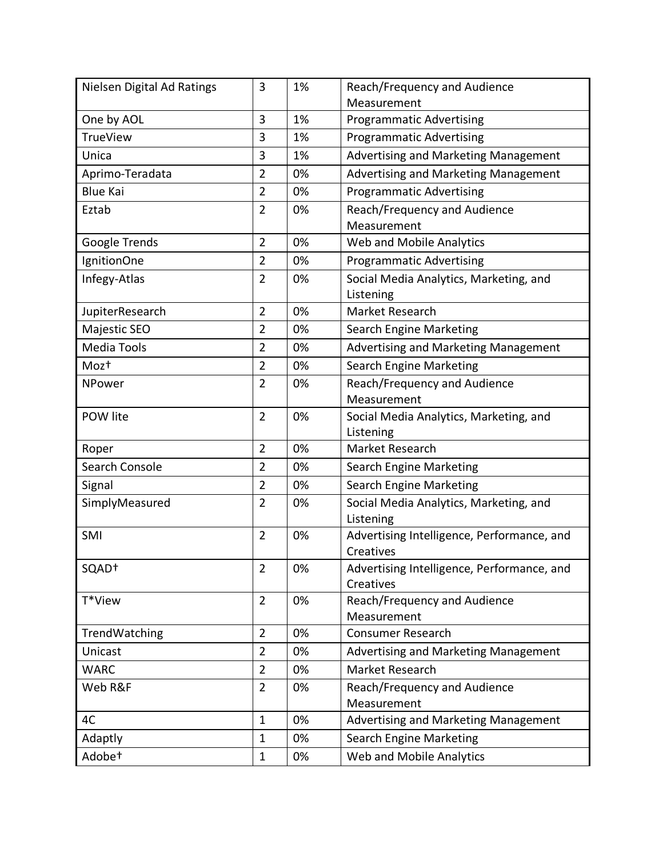| Nielsen Digital Ad Ratings | 3              | 1% | Reach/Frequency and Audience                            |
|----------------------------|----------------|----|---------------------------------------------------------|
|                            |                |    | Measurement                                             |
| One by AOL                 | 3              | 1% | <b>Programmatic Advertising</b>                         |
| <b>TrueView</b>            | 3              | 1% | <b>Programmatic Advertising</b>                         |
| Unica                      | 3              | 1% | Advertising and Marketing Management                    |
| Aprimo-Teradata            | $\overline{2}$ | 0% | Advertising and Marketing Management                    |
| <b>Blue Kai</b>            | $\overline{2}$ | 0% | <b>Programmatic Advertising</b>                         |
| Eztab                      | $\overline{2}$ | 0% | Reach/Frequency and Audience                            |
|                            |                |    | Measurement                                             |
| Google Trends              | $\overline{2}$ | 0% | Web and Mobile Analytics                                |
| IgnitionOne                | $\overline{2}$ | 0% | <b>Programmatic Advertising</b>                         |
| Infegy-Atlas               | $\overline{2}$ | 0% | Social Media Analytics, Marketing, and                  |
|                            |                |    | Listening                                               |
| JupiterResearch            | $\overline{2}$ | 0% | Market Research                                         |
| Majestic SEO               | $\overline{2}$ | 0% | <b>Search Engine Marketing</b>                          |
| <b>Media Tools</b>         | $\overline{2}$ | 0% | Advertising and Marketing Management                    |
| Moz <sup>+</sup>           | $\overline{2}$ | 0% | <b>Search Engine Marketing</b>                          |
| <b>NPower</b>              | $\overline{2}$ | 0% | Reach/Frequency and Audience                            |
|                            |                |    | Measurement                                             |
| POW lite                   | $\overline{2}$ | 0% | Social Media Analytics, Marketing, and                  |
|                            |                |    | Listening                                               |
| Roper                      | $\overline{2}$ | 0% | Market Research                                         |
| Search Console             | $\overline{2}$ | 0% | <b>Search Engine Marketing</b>                          |
| Signal                     | $\overline{2}$ | 0% | <b>Search Engine Marketing</b>                          |
| SimplyMeasured             | $\overline{2}$ | 0% | Social Media Analytics, Marketing, and                  |
|                            |                |    | Listening                                               |
| SMI                        | $\overline{2}$ | 0% | Advertising Intelligence, Performance, and              |
|                            | $\overline{2}$ | 0% | Creatives                                               |
| SQAD <sup>+</sup>          |                |    | Advertising Intelligence, Performance, and<br>Creatives |
| T*View                     | $\overline{2}$ | 0% | Reach/Frequency and Audience                            |
|                            |                |    | Measurement                                             |
| TrendWatching              | $\overline{2}$ | 0% | <b>Consumer Research</b>                                |
| Unicast                    | 2              | 0% | Advertising and Marketing Management                    |
| <b>WARC</b>                | $\overline{2}$ | 0% | Market Research                                         |
| Web R&F                    | $\overline{2}$ | 0% | Reach/Frequency and Audience                            |
|                            |                |    | Measurement                                             |
| 4C                         | $\mathbf{1}$   | 0% | Advertising and Marketing Management                    |
| Adaptly                    | $\mathbf 1$    | 0% | <b>Search Engine Marketing</b>                          |
| Adobe <sup>+</sup>         | $\mathbf 1$    | 0% | Web and Mobile Analytics                                |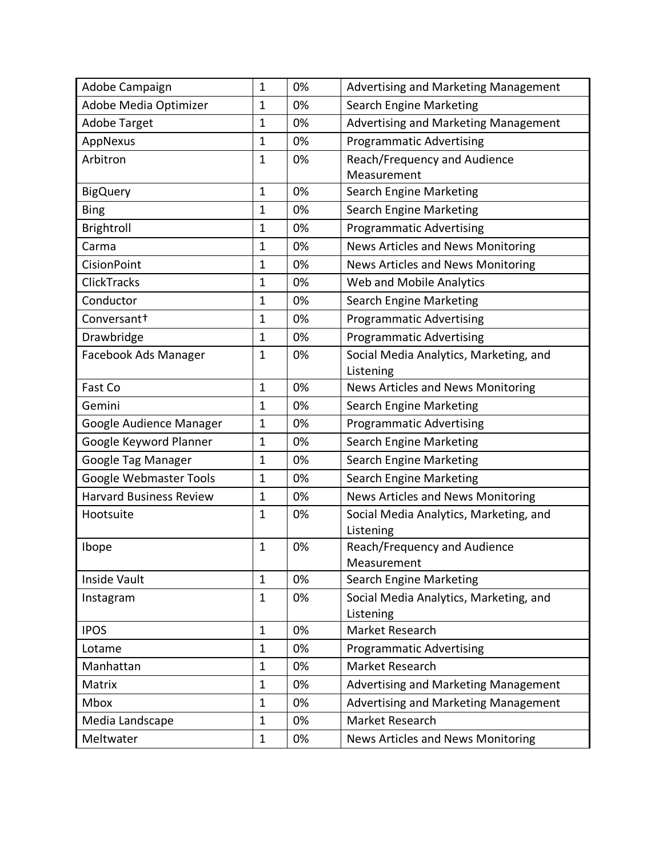| Adobe Campaign                 | $\mathbf 1$  | 0% | Advertising and Marketing Management   |
|--------------------------------|--------------|----|----------------------------------------|
| Adobe Media Optimizer          | $\mathbf{1}$ | 0% | <b>Search Engine Marketing</b>         |
| <b>Adobe Target</b>            | $\mathbf 1$  | 0% | Advertising and Marketing Management   |
| AppNexus                       | $\mathbf{1}$ | 0% | <b>Programmatic Advertising</b>        |
| Arbitron                       | $\mathbf 1$  | 0% | Reach/Frequency and Audience           |
|                                |              |    | Measurement                            |
| <b>BigQuery</b>                | $\mathbf{1}$ | 0% | <b>Search Engine Marketing</b>         |
| <b>Bing</b>                    | $\mathbf{1}$ | 0% | <b>Search Engine Marketing</b>         |
| Brightroll                     | $\mathbf{1}$ | 0% | <b>Programmatic Advertising</b>        |
| Carma                          | $\mathbf{1}$ | 0% | News Articles and News Monitoring      |
| <b>CisionPoint</b>             | $\mathbf 1$  | 0% | News Articles and News Monitoring      |
| ClickTracks                    | $\mathbf 1$  | 0% | Web and Mobile Analytics               |
| Conductor                      | $\mathbf 1$  | 0% | <b>Search Engine Marketing</b>         |
| Conversant <sup>+</sup>        | $\mathbf{1}$ | 0% | <b>Programmatic Advertising</b>        |
| Drawbridge                     | $\mathbf{1}$ | 0% | <b>Programmatic Advertising</b>        |
| Facebook Ads Manager           | $\mathbf{1}$ | 0% | Social Media Analytics, Marketing, and |
|                                |              |    | Listening                              |
| Fast Co                        | $\mathbf{1}$ | 0% | News Articles and News Monitoring      |
| Gemini                         | $\mathbf 1$  | 0% | <b>Search Engine Marketing</b>         |
| Google Audience Manager        | $\mathbf{1}$ | 0% | <b>Programmatic Advertising</b>        |
| Google Keyword Planner         | $\mathbf{1}$ | 0% | <b>Search Engine Marketing</b>         |
| Google Tag Manager             | $\mathbf{1}$ | 0% | <b>Search Engine Marketing</b>         |
| Google Webmaster Tools         | $\mathbf{1}$ | 0% | <b>Search Engine Marketing</b>         |
| <b>Harvard Business Review</b> | $\mathbf 1$  | 0% | News Articles and News Monitoring      |
| Hootsuite                      | $\mathbf 1$  | 0% | Social Media Analytics, Marketing, and |
|                                |              |    | Listening                              |
| Ibope                          | $\mathbf 1$  | 0% | Reach/Frequency and Audience           |
|                                |              |    | Measurement                            |
| Inside Vault                   | $\mathbf{1}$ | 0% | Search Engine Marketing                |
| Instagram                      | $\mathbf{1}$ | 0% | Social Media Analytics, Marketing, and |
| <b>IPOS</b>                    | $\mathbf{1}$ | 0% | Listening<br>Market Research           |
|                                |              |    |                                        |
| Lotame                         | $\mathbf{1}$ | 0% | <b>Programmatic Advertising</b>        |
| Manhattan                      | $\mathbf{1}$ | 0% | Market Research                        |
| Matrix                         | $\mathbf{1}$ | 0% | Advertising and Marketing Management   |
| Mbox                           | $\mathbf{1}$ | 0% | Advertising and Marketing Management   |
| Media Landscape                | $\mathbf{1}$ | 0% | Market Research                        |
| Meltwater                      | $\mathbf{1}$ | 0% | News Articles and News Monitoring      |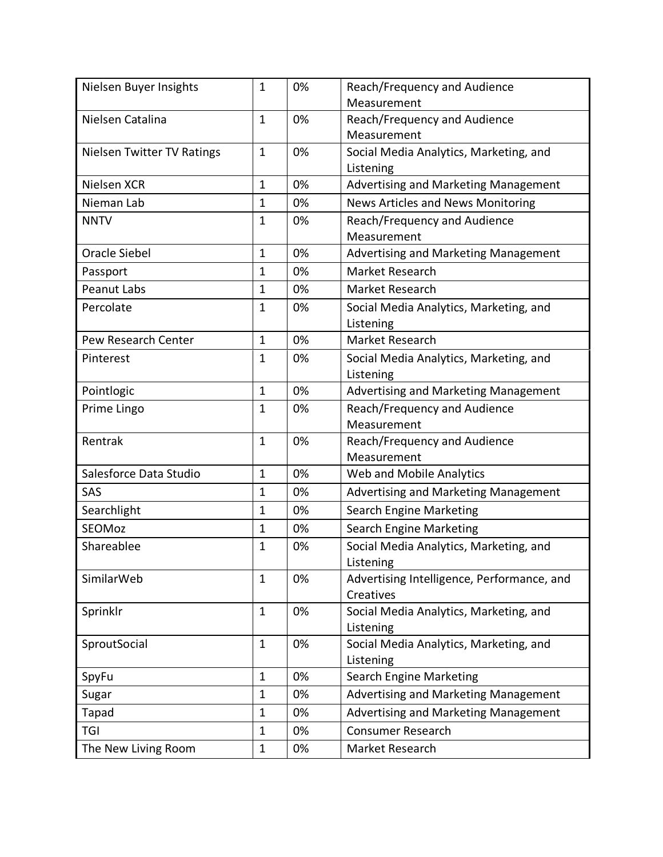| Nielsen Buyer Insights            | $\mathbf{1}$ | 0% | Reach/Frequency and Audience                            |
|-----------------------------------|--------------|----|---------------------------------------------------------|
|                                   |              |    | Measurement                                             |
| Nielsen Catalina                  | $\mathbf{1}$ | 0% | Reach/Frequency and Audience<br>Measurement             |
| <b>Nielsen Twitter TV Ratings</b> | 1            | 0% | Social Media Analytics, Marketing, and                  |
|                                   |              |    | Listening                                               |
| Nielsen XCR                       | 1            | 0% | Advertising and Marketing Management                    |
| Nieman Lab                        | 1            | 0% | News Articles and News Monitoring                       |
| <b>NNTV</b>                       | $\mathbf 1$  | 0% | Reach/Frequency and Audience<br>Measurement             |
| <b>Oracle Siebel</b>              | $\mathbf{1}$ | 0% | Advertising and Marketing Management                    |
| Passport                          | $\mathbf{1}$ | 0% | Market Research                                         |
| <b>Peanut Labs</b>                | $\mathbf{1}$ | 0% | Market Research                                         |
| Percolate                         | 1            | 0% | Social Media Analytics, Marketing, and<br>Listening     |
| Pew Research Center               | $\mathbf{1}$ | 0% | Market Research                                         |
| Pinterest                         | 1            | 0% | Social Media Analytics, Marketing, and                  |
|                                   |              |    | Listening                                               |
| Pointlogic                        | $\mathbf{1}$ | 0% | Advertising and Marketing Management                    |
| Prime Lingo                       | $\mathbf 1$  | 0% | Reach/Frequency and Audience                            |
|                                   |              |    | Measurement                                             |
| Rentrak                           | $\mathbf{1}$ | 0% | Reach/Frequency and Audience                            |
|                                   |              |    | Measurement                                             |
| Salesforce Data Studio            | $\mathbf{1}$ | 0% | Web and Mobile Analytics                                |
| SAS                               | $\mathbf{1}$ | 0% | Advertising and Marketing Management                    |
| Searchlight                       | $\mathbf{1}$ | 0% | <b>Search Engine Marketing</b>                          |
| SEOMoz                            | 1            | 0% | Search Engine Marketing                                 |
| Shareablee                        | 1            | 0% | Social Media Analytics, Marketing, and<br>Listening     |
| SimilarWeb                        | $\mathbf 1$  | 0% | Advertising Intelligence, Performance, and<br>Creatives |
| Sprinklr                          | 1            | 0% | Social Media Analytics, Marketing, and                  |
|                                   |              |    | Listening                                               |
| SproutSocial                      | $\mathbf 1$  | 0% | Social Media Analytics, Marketing, and                  |
|                                   |              |    | Listening                                               |
| SpyFu                             | 1            | 0% | <b>Search Engine Marketing</b>                          |
| Sugar                             | $\mathbf{1}$ | 0% | Advertising and Marketing Management                    |
| Tapad                             | $\mathbf 1$  | 0% | Advertising and Marketing Management                    |
| <b>TGI</b>                        | 1            | 0% | <b>Consumer Research</b>                                |
| The New Living Room               | $\mathbf 1$  | 0% | Market Research                                         |